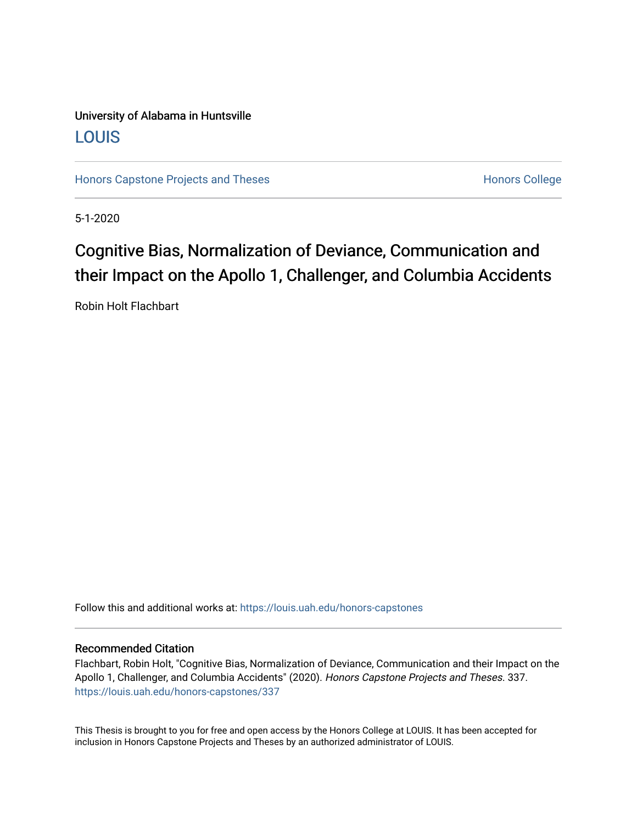### University of Alabama in Huntsville [LOUIS](https://louis.uah.edu/)

[Honors Capstone Projects and Theses](https://louis.uah.edu/honors-capstones) **Honors College** Honors College

5-1-2020

## Cognitive Bias, Normalization of Deviance, Communication and their Impact on the Apollo 1, Challenger, and Columbia Accidents

Robin Holt Flachbart

Follow this and additional works at: [https://louis.uah.edu/honors-capstones](https://louis.uah.edu/honors-capstones?utm_source=louis.uah.edu%2Fhonors-capstones%2F337&utm_medium=PDF&utm_campaign=PDFCoverPages) 

#### Recommended Citation

Flachbart, Robin Holt, "Cognitive Bias, Normalization of Deviance, Communication and their Impact on the Apollo 1, Challenger, and Columbia Accidents" (2020). Honors Capstone Projects and Theses. 337. [https://louis.uah.edu/honors-capstones/337](https://louis.uah.edu/honors-capstones/337?utm_source=louis.uah.edu%2Fhonors-capstones%2F337&utm_medium=PDF&utm_campaign=PDFCoverPages) 

This Thesis is brought to you for free and open access by the Honors College at LOUIS. It has been accepted for inclusion in Honors Capstone Projects and Theses by an authorized administrator of LOUIS.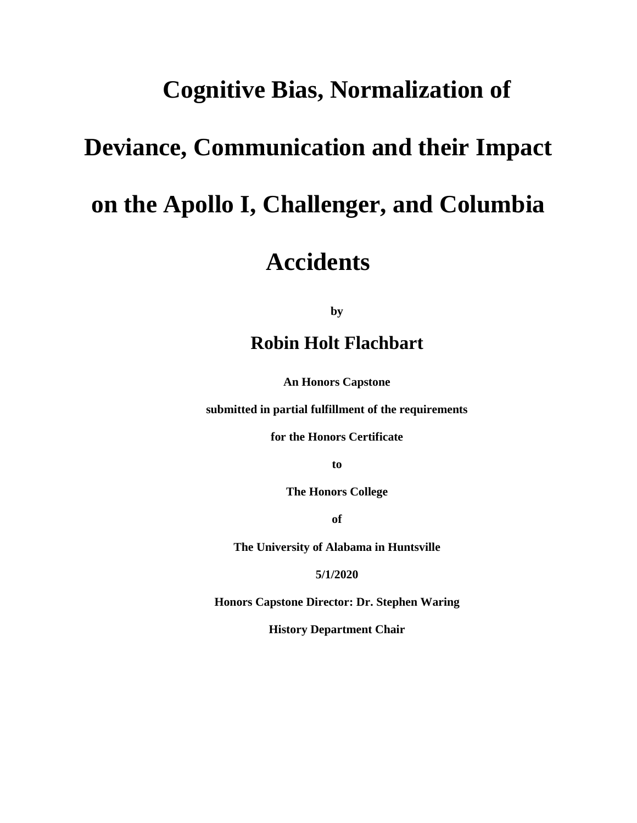## **Cognitive Bias, Normalization of**

# **Deviance, Communication and their Impact**

# **on the Apollo I, Challenger, and Columbia**

# **Accidents**

**by**

## **Robin Holt Flachbart**

**An Honors Capstone**

**submitted in partial fulfillment of the requirements** 

**for the Honors Certificate**

**to** 

**The Honors College** 

**of** 

**The University of Alabama in Huntsville**

**5/1/2020**

**Honors Capstone Director: Dr. Stephen Waring**

**History Department Chair**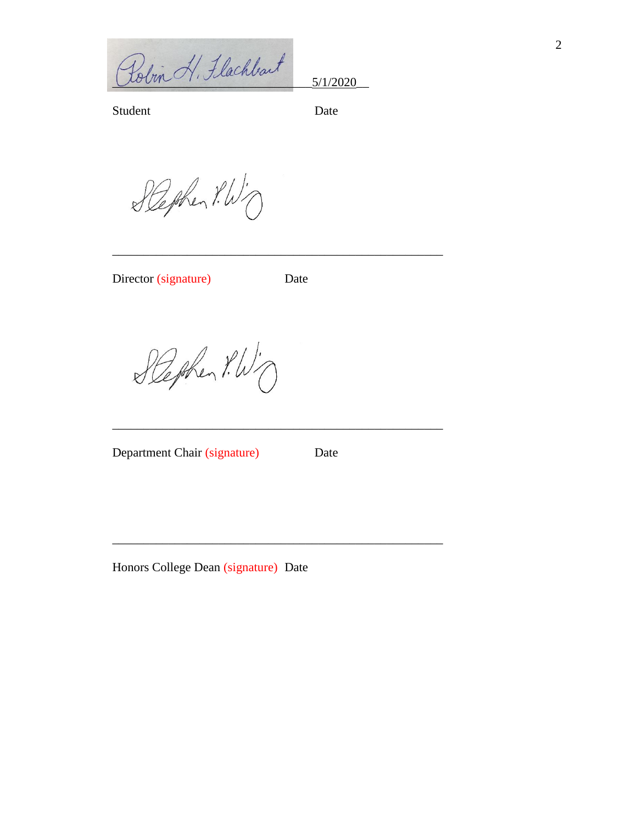Polin H. Flachbart 5/1/2020

Student Date

Stephen P.W.

Director (signature) Date

\_\_\_\_\_\_\_\_\_\_\_\_\_\_\_\_\_\_\_\_\_\_\_\_\_\_\_\_\_\_\_\_\_\_\_\_\_\_\_\_\_\_\_\_\_\_\_\_\_\_\_\_\_

\_\_\_\_\_\_\_\_\_\_\_\_\_\_\_\_\_\_\_\_\_\_\_\_\_\_\_\_\_\_\_\_\_\_\_\_\_\_\_\_\_\_\_\_\_\_\_\_\_\_\_\_\_

\_\_\_\_\_\_\_\_\_\_\_\_\_\_\_\_\_\_\_\_\_\_\_\_\_\_\_\_\_\_\_\_\_\_\_\_\_\_\_\_\_\_\_\_\_\_\_\_\_\_\_\_\_

Stephen P.W.

Department Chair (signature) Date

Honors College Dean (signature) Date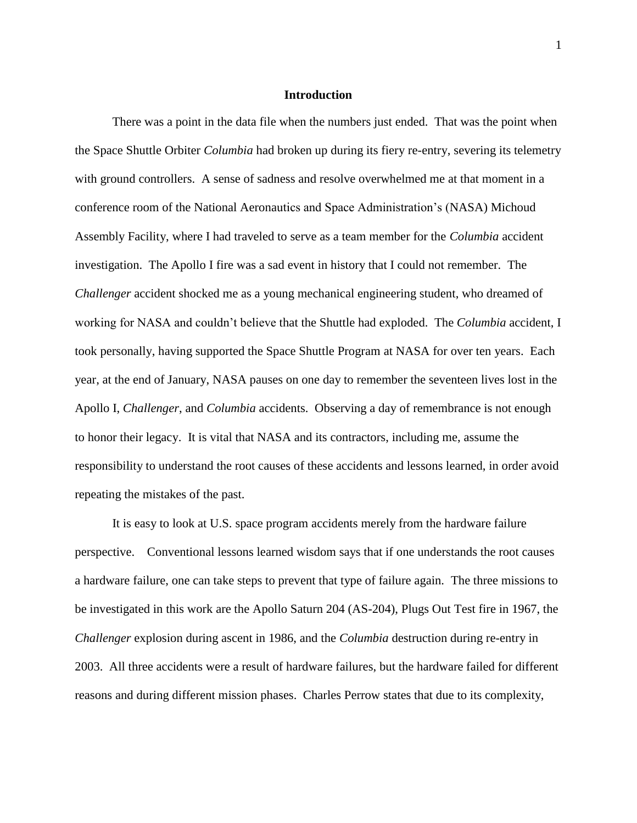#### **Introduction**

There was a point in the data file when the numbers just ended. That was the point when the Space Shuttle Orbiter *Columbia* had broken up during its fiery re-entry, severing its telemetry with ground controllers. A sense of sadness and resolve overwhelmed me at that moment in a conference room of the National Aeronautics and Space Administration's (NASA) Michoud Assembly Facility, where I had traveled to serve as a team member for the *Columbia* accident investigation. The Apollo I fire was a sad event in history that I could not remember. The *Challenger* accident shocked me as a young mechanical engineering student, who dreamed of working for NASA and couldn't believe that the Shuttle had exploded. The *Columbia* accident, I took personally, having supported the Space Shuttle Program at NASA for over ten years. Each year, at the end of January, NASA pauses on one day to remember the seventeen lives lost in the Apollo I, *Challenger*, and *Columbia* accidents. Observing a day of remembrance is not enough to honor their legacy. It is vital that NASA and its contractors, including me, assume the responsibility to understand the root causes of these accidents and lessons learned, in order avoid repeating the mistakes of the past.

It is easy to look at U.S. space program accidents merely from the hardware failure perspective. Conventional lessons learned wisdom says that if one understands the root causes a hardware failure, one can take steps to prevent that type of failure again. The three missions to be investigated in this work are the Apollo Saturn 204 (AS-204), Plugs Out Test fire in 1967, the *Challenger* explosion during ascent in 1986, and the *Columbia* destruction during re-entry in 2003. All three accidents were a result of hardware failures, but the hardware failed for different reasons and during different mission phases. Charles Perrow states that due to its complexity,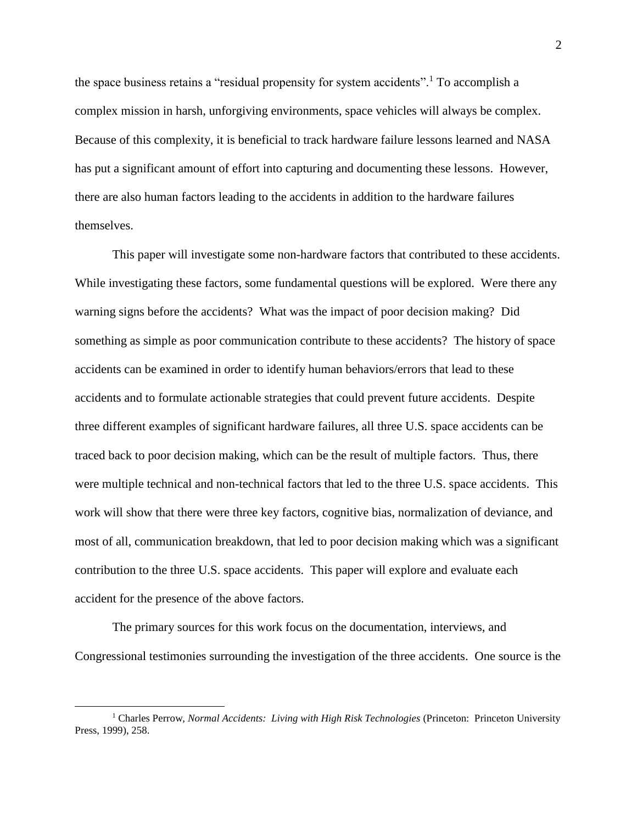the space business retains a "residual propensity for system accidents".<sup>1</sup> To accomplish a complex mission in harsh, unforgiving environments, space vehicles will always be complex. Because of this complexity, it is beneficial to track hardware failure lessons learned and NASA has put a significant amount of effort into capturing and documenting these lessons. However, there are also human factors leading to the accidents in addition to the hardware failures themselves.

This paper will investigate some non-hardware factors that contributed to these accidents. While investigating these factors, some fundamental questions will be explored. Were there any warning signs before the accidents? What was the impact of poor decision making? Did something as simple as poor communication contribute to these accidents? The history of space accidents can be examined in order to identify human behaviors/errors that lead to these accidents and to formulate actionable strategies that could prevent future accidents. Despite three different examples of significant hardware failures, all three U.S. space accidents can be traced back to poor decision making, which can be the result of multiple factors. Thus, there were multiple technical and non-technical factors that led to the three U.S. space accidents. This work will show that there were three key factors, cognitive bias, normalization of deviance, and most of all, communication breakdown, that led to poor decision making which was a significant contribution to the three U.S. space accidents. This paper will explore and evaluate each accident for the presence of the above factors.

The primary sources for this work focus on the documentation, interviews, and Congressional testimonies surrounding the investigation of the three accidents. One source is the

<sup>1</sup> Charles Perrow, *Normal Accidents: Living with High Risk Technologies* (Princeton: Princeton University Press, 1999), 258.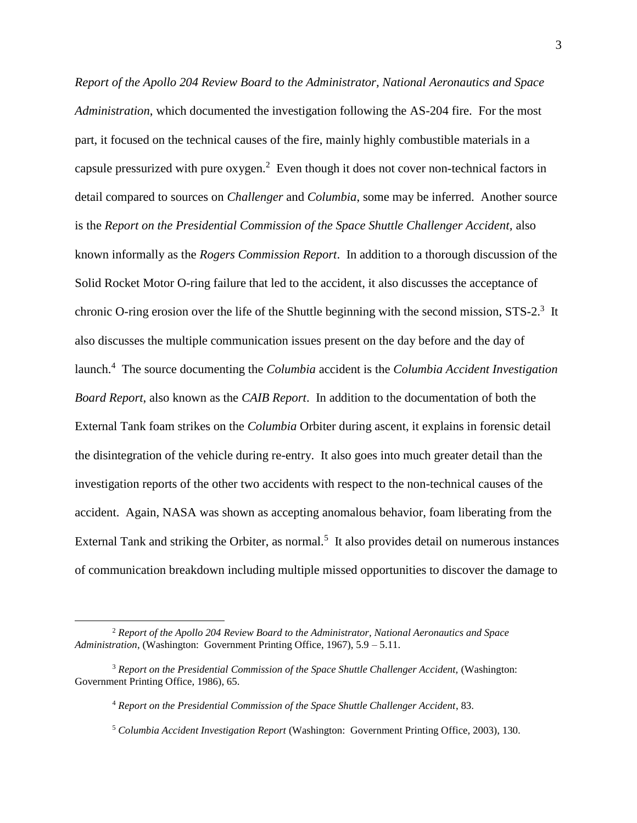*Report of the Apollo 204 Review Board to the Administrator, National Aeronautics and Space Administration*, which documented the investigation following the AS-204 fire. For the most part, it focused on the technical causes of the fire, mainly highly combustible materials in a capsule pressurized with pure  $\alpha$ ygen.<sup>2</sup> Even though it does not cover non-technical factors in detail compared to sources on *Challenger* and *Columbia*, some may be inferred. Another source is the *Report on the Presidential Commission of the Space Shuttle Challenger Accident,* also known informally as the *Rogers Commission Report*. In addition to a thorough discussion of the Solid Rocket Motor O-ring failure that led to the accident, it also discusses the acceptance of chronic O-ring erosion over the life of the Shuttle beginning with the second mission,  $STS-2$ <sup>3</sup> It also discusses the multiple communication issues present on the day before and the day of launch.<sup>4</sup> The source documenting the *Columbia* accident is the *Columbia Accident Investigation Board Report*, also known as the *CAIB Report*. In addition to the documentation of both the External Tank foam strikes on the *Columbia* Orbiter during ascent, it explains in forensic detail the disintegration of the vehicle during re-entry. It also goes into much greater detail than the investigation reports of the other two accidents with respect to the non-technical causes of the accident. Again, NASA was shown as accepting anomalous behavior, foam liberating from the External Tank and striking the Orbiter, as normal.<sup>5</sup> It also provides detail on numerous instances of communication breakdown including multiple missed opportunities to discover the damage to

<sup>2</sup> *Report of the Apollo 204 Review Board to the Administrator, National Aeronautics and Space Administration*, (Washington: Government Printing Office, 1967), 5.9 – 5.11.

<sup>3</sup> *Report on the Presidential Commission of the Space Shuttle Challenger Accident,* (Washington: Government Printing Office, 1986), 65.

<sup>4</sup> *Report on the Presidential Commission of the Space Shuttle Challenger Accident*, 83.

<sup>5</sup> *Columbia Accident Investigation Report* (Washington: Government Printing Office, 2003), 130.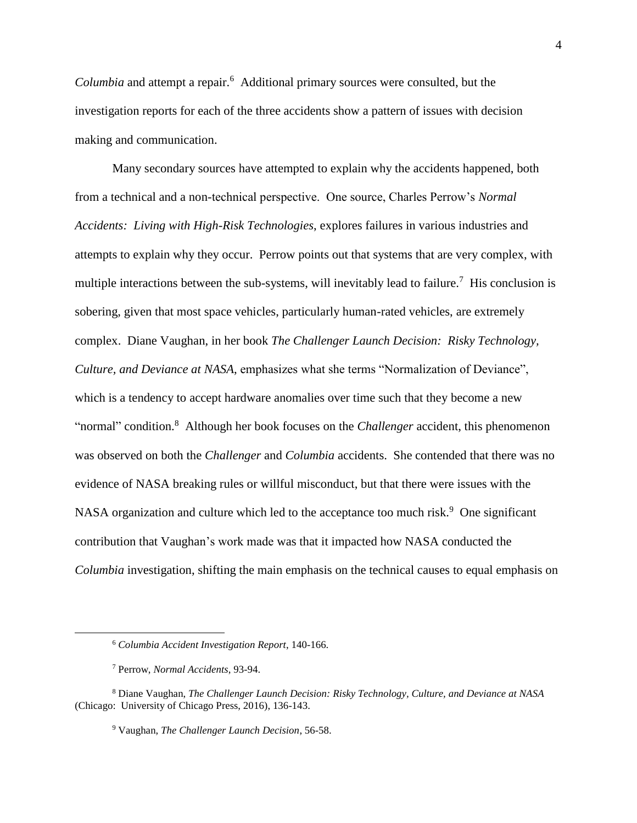Columbia and attempt a repair.<sup>6</sup> Additional primary sources were consulted, but the investigation reports for each of the three accidents show a pattern of issues with decision making and communication.

Many secondary sources have attempted to explain why the accidents happened, both from a technical and a non-technical perspective. One source, Charles Perrow's *Normal Accidents: Living with High-Risk Technologies*, explores failures in various industries and attempts to explain why they occur. Perrow points out that systems that are very complex, with multiple interactions between the sub-systems, will inevitably lead to failure.<sup>7</sup> His conclusion is sobering, given that most space vehicles, particularly human-rated vehicles, are extremely complex. Diane Vaughan, in her book *The Challenger Launch Decision: Risky Technology, Culture, and Deviance at NASA*, emphasizes what she terms "Normalization of Deviance", which is a tendency to accept hardware anomalies over time such that they become a new "normal" condition.<sup>8</sup> Although her book focuses on the *Challenger* accident, this phenomenon was observed on both the *Challenger* and *Columbia* accidents. She contended that there was no evidence of NASA breaking rules or willful misconduct, but that there were issues with the NASA organization and culture which led to the acceptance too much risk.<sup>9</sup> One significant contribution that Vaughan's work made was that it impacted how NASA conducted the *Columbia* investigation, shifting the main emphasis on the technical causes to equal emphasis on

<sup>6</sup> *Columbia Accident Investigation Report*, 140-166.

<sup>7</sup> Perrow, *Normal Accidents*, 93-94.

<sup>8</sup> Diane Vaughan, *The Challenger Launch Decision: Risky Technology, Culture, and Deviance at NASA* (Chicago: University of Chicago Press, 2016), 136-143.

<sup>9</sup> Vaughan, *The Challenger Launch Decision*, 56-58.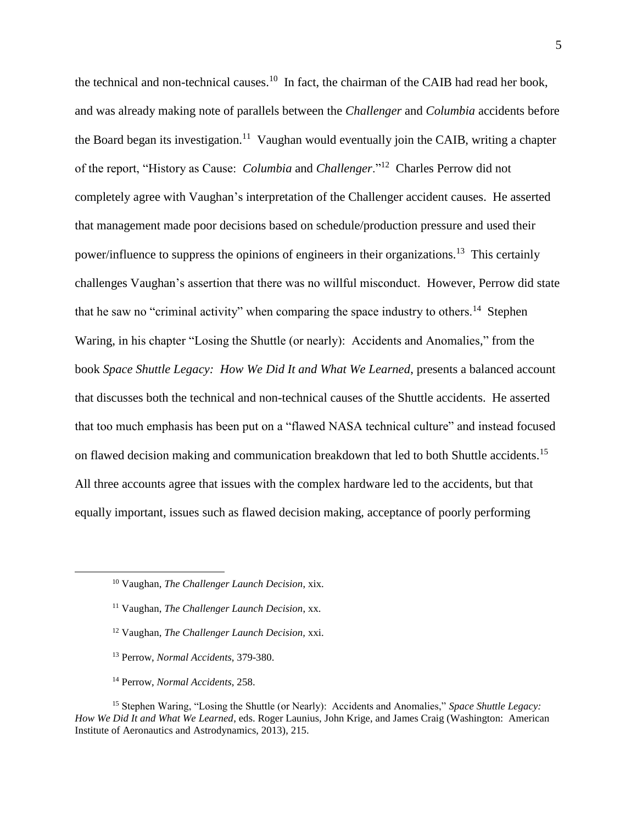the technical and non-technical causes.<sup>10</sup> In fact, the chairman of the CAIB had read her book, and was already making note of parallels between the *Challenger* and *Columbia* accidents before the Board began its investigation.<sup>11</sup> Vaughan would eventually join the CAIB, writing a chapter of the report, "History as Cause: *Columbia* and *Challenger*."<sup>12</sup> Charles Perrow did not completely agree with Vaughan's interpretation of the Challenger accident causes. He asserted that management made poor decisions based on schedule/production pressure and used their power/influence to suppress the opinions of engineers in their organizations.<sup>13</sup> This certainly challenges Vaughan's assertion that there was no willful misconduct. However, Perrow did state that he saw no "criminal activity" when comparing the space industry to others.<sup>14</sup> Stephen Waring, in his chapter "Losing the Shuttle (or nearly): Accidents and Anomalies," from the book *Space Shuttle Legacy: How We Did It and What We Learned*, presents a balanced account that discusses both the technical and non-technical causes of the Shuttle accidents. He asserted that too much emphasis has been put on a "flawed NASA technical culture" and instead focused on flawed decision making and communication breakdown that led to both Shuttle accidents.<sup>15</sup> All three accounts agree that issues with the complex hardware led to the accidents, but that equally important, issues such as flawed decision making, acceptance of poorly performing

- <sup>12</sup> Vaughan, *The Challenger Launch Decision,* xxi.
- <sup>13</sup> Perrow, *Normal Accidents*, 379-380.
- <sup>14</sup> Perrow, *Normal Accidents*, 258.

<sup>15</sup> Stephen Waring, "Losing the Shuttle (or Nearly): Accidents and Anomalies," *Space Shuttle Legacy: How We Did It and What We Learned*, eds. Roger Launius, John Krige, and James Craig (Washington: American Institute of Aeronautics and Astrodynamics, 2013), 215.

<sup>10</sup> Vaughan, *The Challenger Launch Decision*, xix.

<sup>11</sup> Vaughan, *The Challenger Launch Decision*, xx.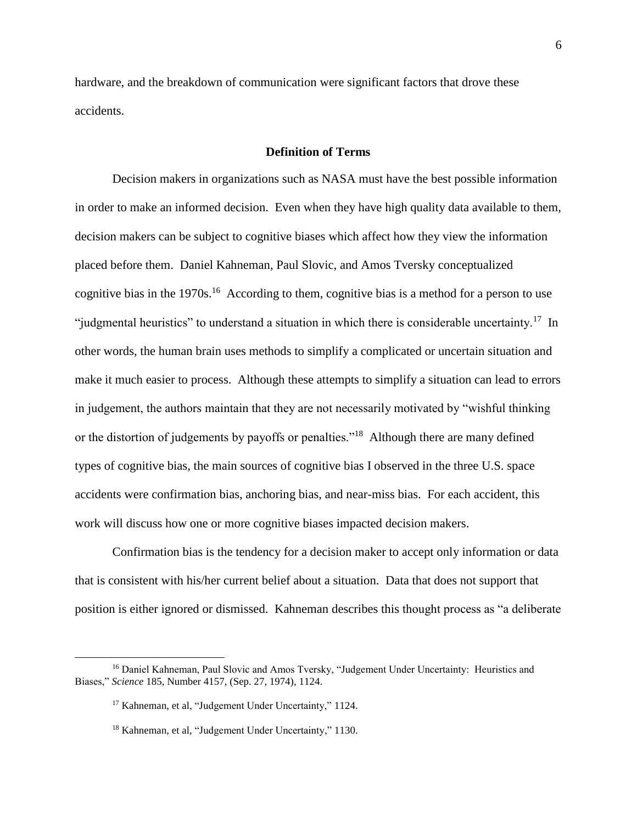hardware, and the breakdown of communication were significant factors that drove these accidents.

#### **Definition of Terms**

Decision makers in organizations such as NASA must have the best possible information in order to make an informed decision. Even when they have high quality data available to them, decision makers can be subject to cognitive biases which affect how they view the information placed before them. Daniel Kahneman, Paul Slovic, and Amos Tversky conceptualized cognitive bias in the 1970s.<sup>16</sup> According to them, cognitive bias is a method for a person to use "judgmental heuristics" to understand a situation in which there is considerable uncertainty.<sup>17</sup> In other words, the human brain uses methods to simplify a complicated or uncertain situation and make it much easier to process. Although these attempts to simplify a situation can lead to errors in judgement, the authors maintain that they are not necessarily motivated by "wishful thinking or the distortion of judgements by payoffs or penalties."<sup>18</sup> Although there are many defined types of cognitive bias, the main sources of cognitive bias I observed in the three U.S. space accidents were confirmation bias, anchoring bias, and near-miss bias. For each accident, this work will discuss how one or more cognitive biases impacted decision makers.

Confirmation bias is the tendency for a decision maker to accept only information or data that is consistent with his/her current belief about a situation. Data that does not support that position is either ignored or dismissed. Kahneman describes this thought process as "a deliberate

<sup>&</sup>lt;sup>16</sup> Daniel Kahneman, Paul Slovic and Amos Tversky, "Judgement Under Uncertainty: Heuristics and Biases," *Science* 185, Number 4157, (Sep. 27, 1974), 1124.

<sup>&</sup>lt;sup>17</sup> Kahneman, et al, "Judgement Under Uncertainty," 1124.

<sup>&</sup>lt;sup>18</sup> Kahneman, et al, "Judgement Under Uncertainty," 1130.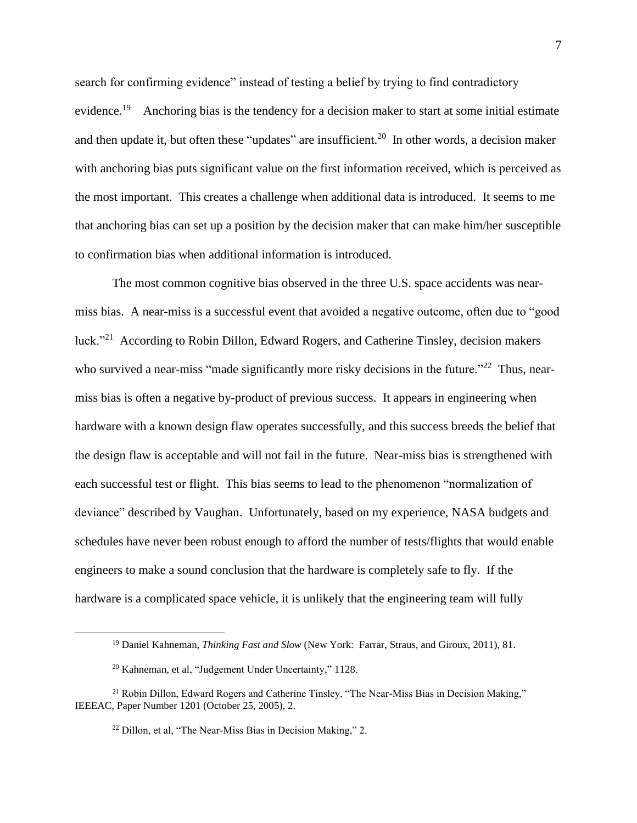search for confirming evidence" instead of testing a belief by trying to find contradictory evidence.<sup>19</sup> Anchoring bias is the tendency for a decision maker to start at some initial estimate and then update it, but often these "updates" are insufficient.<sup>20</sup> In other words, a decision maker with anchoring bias puts significant value on the first information received, which is perceived as the most important. This creates a challenge when additional data is introduced. It seems to me that anchoring bias can set up a position by the decision maker that can make him/her susceptible to confirmation bias when additional information is introduced.

The most common cognitive bias observed in the three U.S. space accidents was nearmiss bias. A near-miss is a successful event that avoided a negative outcome, often due to "good luck."<sup>21</sup> According to Robin Dillon, Edward Rogers, and Catherine Tinsley, decision makers who survived a near-miss "made significantly more risky decisions in the future."<sup>22</sup> Thus, nearmiss bias is often a negative by-product of previous success. It appears in engineering when hardware with a known design flaw operates successfully, and this success breeds the belief that the design flaw is acceptable and will not fail in the future. Near-miss bias is strengthened with each successful test or flight. This bias seems to lead to the phenomenon "normalization of deviance" described by Vaughan. Unfortunately, based on my experience, NASA budgets and schedules have never been robust enough to afford the number of tests/flights that would enable engineers to make a sound conclusion that the hardware is completely safe to fly. If the hardware is a complicated space vehicle, it is unlikely that the engineering team will fully

<sup>19</sup> Daniel Kahneman, *Thinking Fast and Slow* (New York: Farrar, Straus, and Giroux, 2011), 81.

<sup>&</sup>lt;sup>20</sup> Kahneman, et al, "Judgement Under Uncertainty," 1128.

<sup>&</sup>lt;sup>21</sup> Robin Dillon, Edward Rogers and Catherine Tinsley, "The Near-Miss Bias in Decision Making," IEEEAC, Paper Number 1201 (October 25, 2005), 2.

<sup>&</sup>lt;sup>22</sup> Dillon, et al, "The Near-Miss Bias in Decision Making," 2.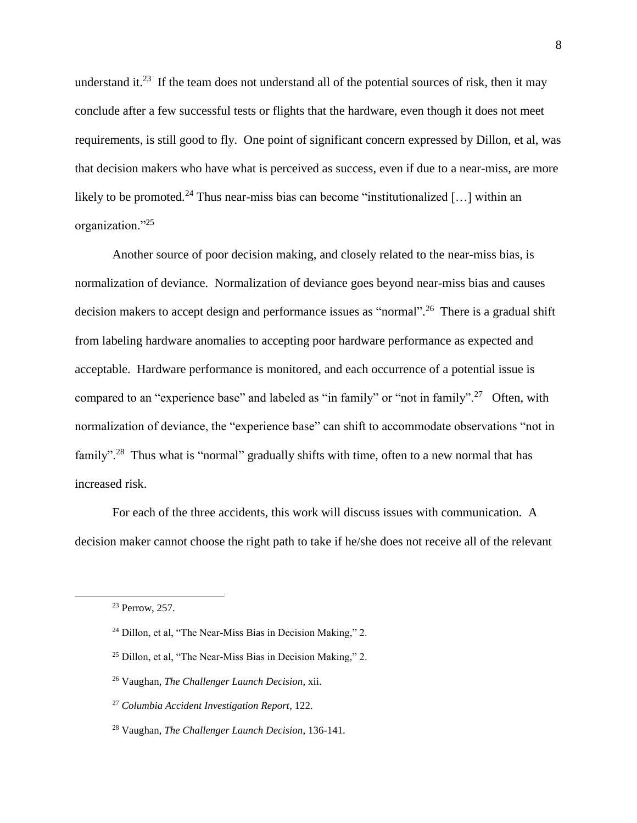understand it.<sup>23</sup> If the team does not understand all of the potential sources of risk, then it may conclude after a few successful tests or flights that the hardware, even though it does not meet requirements, is still good to fly. One point of significant concern expressed by Dillon, et al, was that decision makers who have what is perceived as success, even if due to a near-miss, are more likely to be promoted.<sup>24</sup> Thus near-miss bias can become "institutionalized [...] within an organization."<sup>25</sup>

Another source of poor decision making, and closely related to the near-miss bias, is normalization of deviance. Normalization of deviance goes beyond near-miss bias and causes decision makers to accept design and performance issues as "normal".<sup>26</sup> There is a gradual shift from labeling hardware anomalies to accepting poor hardware performance as expected and acceptable. Hardware performance is monitored, and each occurrence of a potential issue is compared to an "experience base" and labeled as "in family" or "not in family".<sup>27</sup> Often, with normalization of deviance, the "experience base" can shift to accommodate observations "not in family".<sup>28</sup> Thus what is "normal" gradually shifts with time, often to a new normal that has increased risk.

For each of the three accidents, this work will discuss issues with communication. A decision maker cannot choose the right path to take if he/she does not receive all of the relevant

<sup>23</sup> Perrow, 257.

<sup>&</sup>lt;sup>24</sup> Dillon, et al, "The Near-Miss Bias in Decision Making," 2.

<sup>&</sup>lt;sup>25</sup> Dillon, et al, "The Near-Miss Bias in Decision Making," 2.

<sup>26</sup> Vaughan, *The Challenger Launch Decision*, xii.

<sup>27</sup> *Columbia Accident Investigation Report*, 122.

<sup>28</sup> Vaughan, *The Challenger Launch Decision*, 136-141.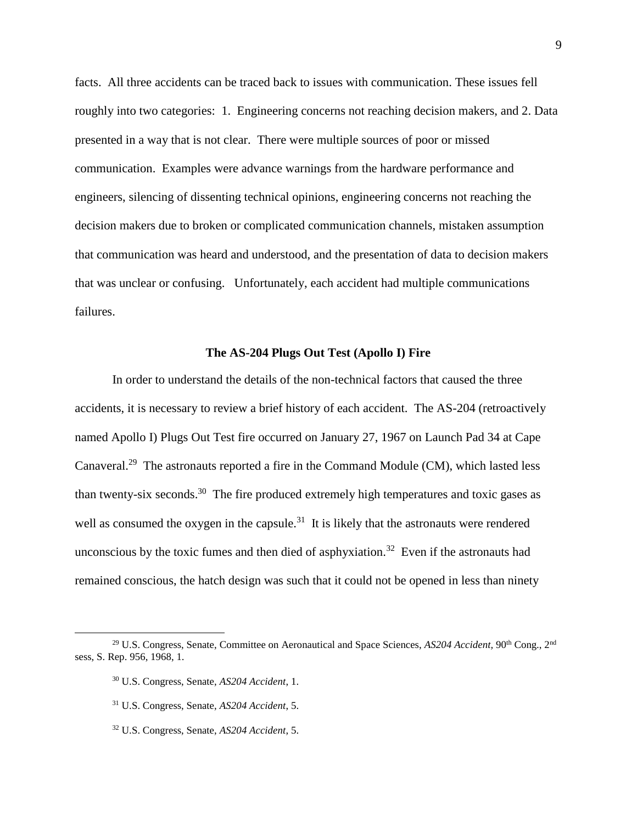facts. All three accidents can be traced back to issues with communication. These issues fell roughly into two categories: 1. Engineering concerns not reaching decision makers, and 2. Data presented in a way that is not clear. There were multiple sources of poor or missed communication. Examples were advance warnings from the hardware performance and engineers, silencing of dissenting technical opinions, engineering concerns not reaching the decision makers due to broken or complicated communication channels, mistaken assumption that communication was heard and understood, and the presentation of data to decision makers that was unclear or confusing. Unfortunately, each accident had multiple communications failures.

#### **The AS-204 Plugs Out Test (Apollo I) Fire**

In order to understand the details of the non-technical factors that caused the three accidents, it is necessary to review a brief history of each accident. The AS-204 (retroactively named Apollo I) Plugs Out Test fire occurred on January 27, 1967 on Launch Pad 34 at Cape Canaveral.<sup>29</sup> The astronauts reported a fire in the Command Module (CM), which lasted less than twenty-six seconds.<sup>30</sup> The fire produced extremely high temperatures and toxic gases as well as consumed the oxygen in the capsule. $31$  It is likely that the astronauts were rendered unconscious by the toxic fumes and then died of asphyxiation.<sup>32</sup> Even if the astronauts had remained conscious, the hatch design was such that it could not be opened in less than ninety

<sup>30</sup> U.S. Congress, Senate, *AS204 Accident*, 1.

<sup>32</sup> U.S. Congress, Senate, *AS204 Accident*, 5.

<sup>&</sup>lt;sup>29</sup> U.S. Congress, Senate, Committee on Aeronautical and Space Sciences, *AS204 Accident*, 90<sup>th</sup> Cong., 2<sup>nd</sup> sess, S. Rep. 956, 1968, 1.

<sup>31</sup> U.S. Congress, Senate, *AS204 Accident*, 5.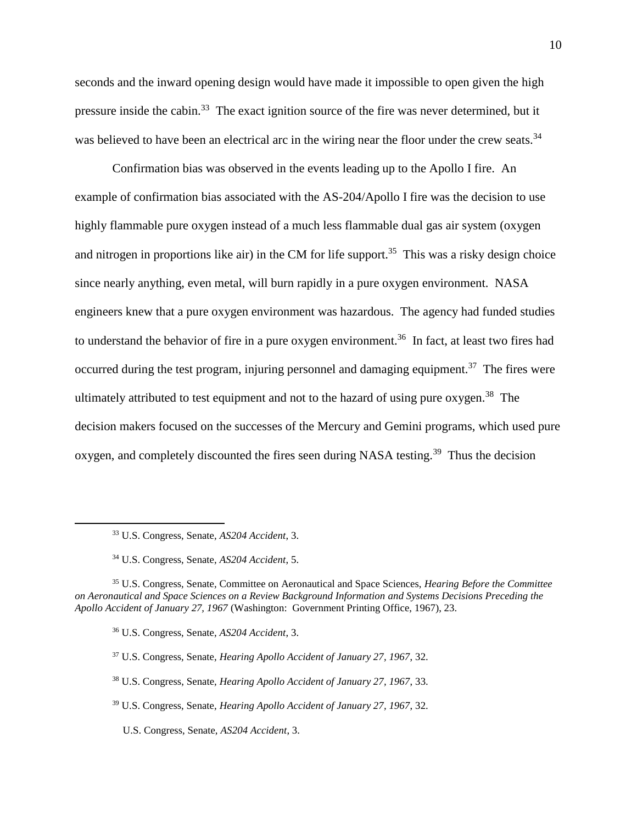seconds and the inward opening design would have made it impossible to open given the high pressure inside the cabin.<sup>33</sup> The exact ignition source of the fire was never determined, but it was believed to have been an electrical arc in the wiring near the floor under the crew seats.<sup>34</sup>

Confirmation bias was observed in the events leading up to the Apollo I fire. An example of confirmation bias associated with the AS-204/Apollo I fire was the decision to use highly flammable pure oxygen instead of a much less flammable dual gas air system (oxygen and nitrogen in proportions like air) in the CM for life support.<sup>35</sup> This was a risky design choice since nearly anything, even metal, will burn rapidly in a pure oxygen environment. NASA engineers knew that a pure oxygen environment was hazardous. The agency had funded studies to understand the behavior of fire in a pure oxygen environment.<sup>36</sup> In fact, at least two fires had occurred during the test program, injuring personnel and damaging equipment.<sup>37</sup> The fires were ultimately attributed to test equipment and not to the hazard of using pure oxygen.<sup>38</sup> The decision makers focused on the successes of the Mercury and Gemini programs, which used pure oxygen, and completely discounted the fires seen during NASA testing.<sup>39</sup> Thus the decision

<sup>33</sup> U.S. Congress, Senate, *AS204 Accident*, 3.

<sup>34</sup> U.S. Congress, Senate, *AS204 Accident*, 5.

<sup>35</sup> U.S. Congress, Senate, Committee on Aeronautical and Space Sciences, *Hearing Before the Committee on Aeronautical and Space Sciences on a Review Background Information and Systems Decisions Preceding the Apollo Accident of January 27, 1967* (Washington: Government Printing Office, 1967), 23.

<sup>36</sup> U.S. Congress, Senate, *AS204 Accident*, 3.

<sup>37</sup> U.S. Congress, Senate, *Hearing Apollo Accident of January 27, 1967*, 32.

<sup>38</sup> U.S. Congress, Senate, *Hearing Apollo Accident of January 27, 1967*, 33.

<sup>39</sup> U.S. Congress, Senate, *Hearing Apollo Accident of January 27, 1967*, 32.

U.S. Congress, Senate, *AS204 Accident*, 3.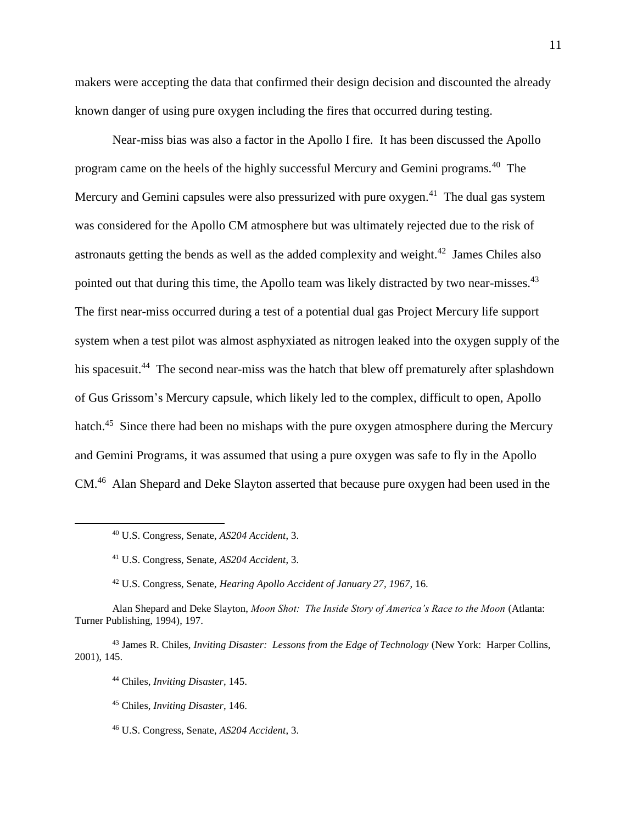makers were accepting the data that confirmed their design decision and discounted the already known danger of using pure oxygen including the fires that occurred during testing.

Near-miss bias was also a factor in the Apollo I fire. It has been discussed the Apollo program came on the heels of the highly successful Mercury and Gemini programs.<sup>40</sup> The Mercury and Gemini capsules were also pressurized with pure oxygen.<sup>41</sup> The dual gas system was considered for the Apollo CM atmosphere but was ultimately rejected due to the risk of astronauts getting the bends as well as the added complexity and weight. $42$  James Chiles also pointed out that during this time, the Apollo team was likely distracted by two near-misses.<sup>43</sup> The first near-miss occurred during a test of a potential dual gas Project Mercury life support system when a test pilot was almost asphyxiated as nitrogen leaked into the oxygen supply of the his spacesuit.<sup>44</sup> The second near-miss was the hatch that blew off prematurely after splashdown of Gus Grissom's Mercury capsule, which likely led to the complex, difficult to open, Apollo hatch.<sup>45</sup> Since there had been no mishaps with the pure oxygen atmosphere during the Mercury and Gemini Programs, it was assumed that using a pure oxygen was safe to fly in the Apollo CM.<sup>46</sup> Alan Shepard and Deke Slayton asserted that because pure oxygen had been used in the

<sup>40</sup> U.S. Congress, Senate, *AS204 Accident*, 3.

<sup>41</sup> U.S. Congress, Senate, *AS204 Accident*, 3.

<sup>42</sup> U.S. Congress, Senate, *Hearing Apollo Accident of January 27, 1967*, 16.

Alan Shepard and Deke Slayton, *Moon Shot: The Inside Story of America's Race to the Moon* (Atlanta: Turner Publishing, 1994), 197.

<sup>43</sup> James R. Chiles, *Inviting Disaster: Lessons from the Edge of Technology* (New York: Harper Collins, 2001), 145.

<sup>44</sup> Chiles, *Inviting Disaster*, 145.

<sup>45</sup> Chiles, *Inviting Disaster*, 146.

<sup>46</sup> U.S. Congress, Senate, *AS204 Accident*, 3.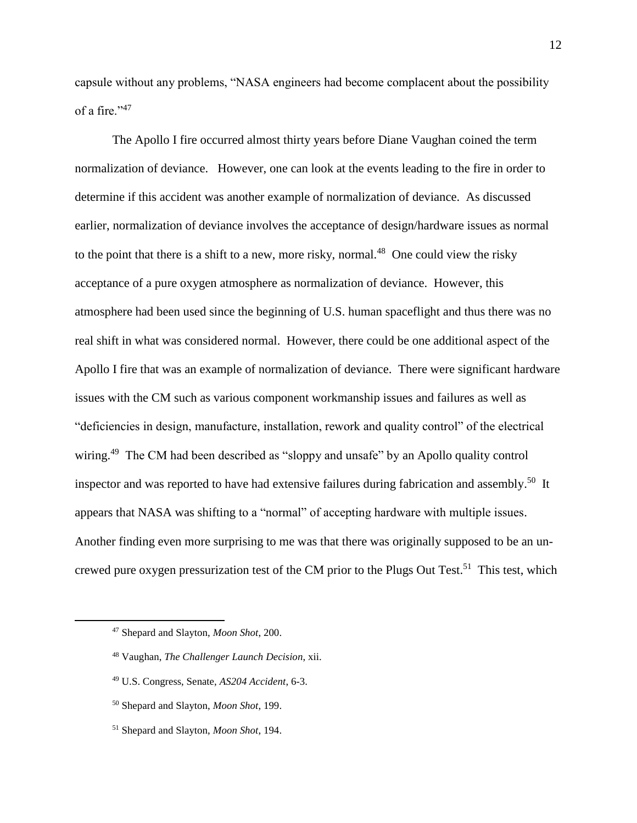capsule without any problems, "NASA engineers had become complacent about the possibility of a fire."<sup>47</sup>

The Apollo I fire occurred almost thirty years before Diane Vaughan coined the term normalization of deviance. However, one can look at the events leading to the fire in order to determine if this accident was another example of normalization of deviance. As discussed earlier, normalization of deviance involves the acceptance of design/hardware issues as normal to the point that there is a shift to a new, more risky, normal.<sup>48</sup> One could view the risky acceptance of a pure oxygen atmosphere as normalization of deviance. However, this atmosphere had been used since the beginning of U.S. human spaceflight and thus there was no real shift in what was considered normal. However, there could be one additional aspect of the Apollo I fire that was an example of normalization of deviance. There were significant hardware issues with the CM such as various component workmanship issues and failures as well as "deficiencies in design, manufacture, installation, rework and quality control" of the electrical wiring.<sup>49</sup> The CM had been described as "sloppy and unsafe" by an Apollo quality control inspector and was reported to have had extensive failures during fabrication and assembly.<sup>50</sup> It appears that NASA was shifting to a "normal" of accepting hardware with multiple issues. Another finding even more surprising to me was that there was originally supposed to be an uncrewed pure oxygen pressurization test of the CM prior to the Plugs Out Test.<sup>51</sup> This test, which

<sup>47</sup> Shepard and Slayton, *Moon Shot*, 200.

<sup>48</sup> Vaughan, *The Challenger Launch Decision*, xii.

<sup>49</sup> U.S. Congress, Senate, *AS204 Accident*, 6-3.

<sup>50</sup> Shepard and Slayton, *Moon Shot*, 199.

<sup>51</sup> Shepard and Slayton, *Moon Shot*, 194.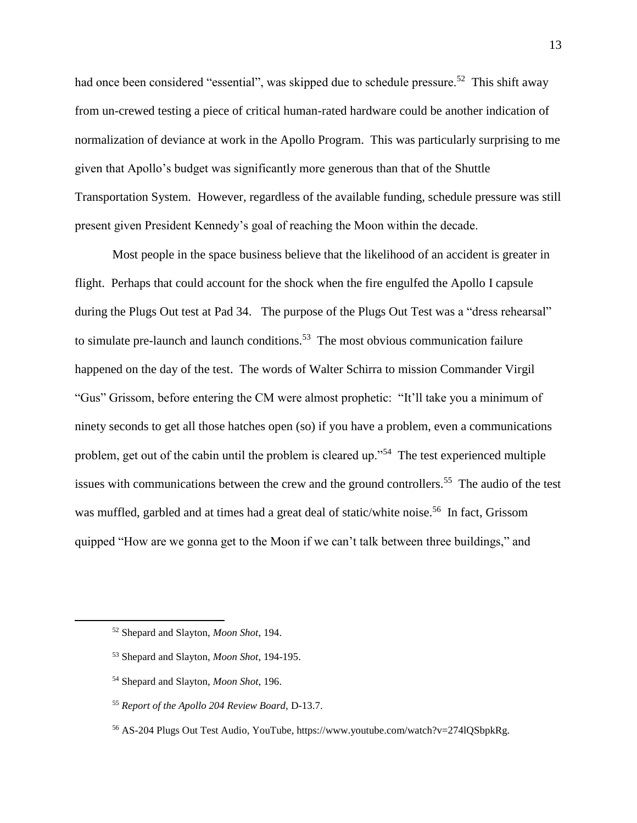had once been considered "essential", was skipped due to schedule pressure.<sup>52</sup> This shift away from un-crewed testing a piece of critical human-rated hardware could be another indication of normalization of deviance at work in the Apollo Program. This was particularly surprising to me given that Apollo's budget was significantly more generous than that of the Shuttle Transportation System. However, regardless of the available funding, schedule pressure was still present given President Kennedy's goal of reaching the Moon within the decade.

Most people in the space business believe that the likelihood of an accident is greater in flight. Perhaps that could account for the shock when the fire engulfed the Apollo I capsule during the Plugs Out test at Pad 34. The purpose of the Plugs Out Test was a "dress rehearsal" to simulate pre-launch and launch conditions.<sup>53</sup> The most obvious communication failure happened on the day of the test. The words of Walter Schirra to mission Commander Virgil "Gus" Grissom, before entering the CM were almost prophetic: "It'll take you a minimum of ninety seconds to get all those hatches open (so) if you have a problem, even a communications problem, get out of the cabin until the problem is cleared up."<sup>54</sup> The test experienced multiple issues with communications between the crew and the ground controllers.<sup>55</sup> The audio of the test was muffled, garbled and at times had a great deal of static/white noise.<sup>56</sup> In fact, Grissom quipped "How are we gonna get to the Moon if we can't talk between three buildings," and

<sup>52</sup> Shepard and Slayton, *Moon Shot*, 194.

<sup>53</sup> Shepard and Slayton, *Moon Shot*, 194-195.

<sup>54</sup> Shepard and Slayton, *Moon Shot*, 196.

<sup>55</sup> *Report of the Apollo 204 Review Board,* D-13.7.

<sup>56</sup> AS-204 Plugs Out Test Audio, YouTube, https://www.youtube.com/watch?v=274lQSbpkRg.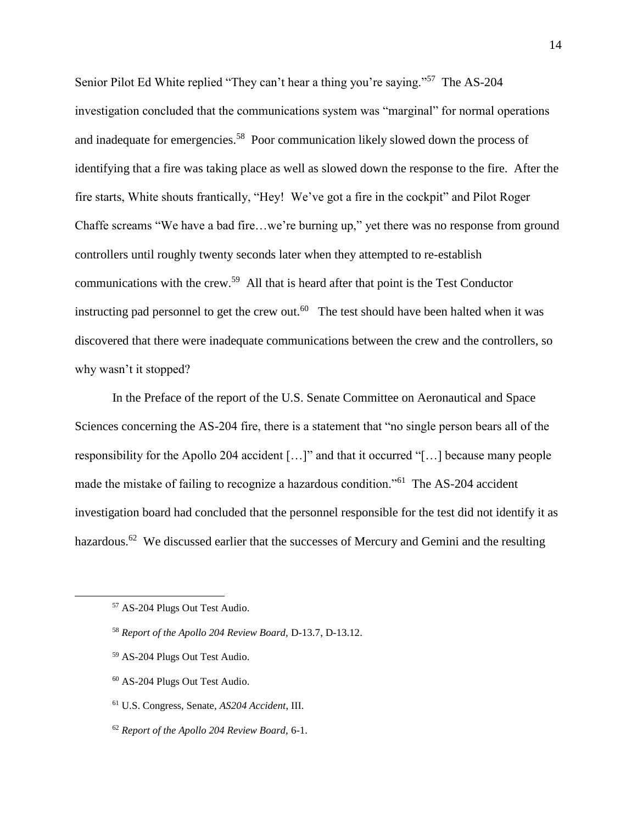Senior Pilot Ed White replied "They can't hear a thing you're saying."<sup>57</sup> The AS-204 investigation concluded that the communications system was "marginal" for normal operations and inadequate for emergencies.<sup>58</sup> Poor communication likely slowed down the process of identifying that a fire was taking place as well as slowed down the response to the fire. After the fire starts, White shouts frantically, "Hey! We've got a fire in the cockpit" and Pilot Roger Chaffe screams "We have a bad fire…we're burning up," yet there was no response from ground controllers until roughly twenty seconds later when they attempted to re-establish communications with the crew.<sup>59</sup> All that is heard after that point is the Test Conductor instructing pad personnel to get the crew out.<sup>60</sup> The test should have been halted when it was discovered that there were inadequate communications between the crew and the controllers, so why wasn't it stopped?

In the Preface of the report of the U.S. Senate Committee on Aeronautical and Space Sciences concerning the AS-204 fire, there is a statement that "no single person bears all of the responsibility for the Apollo 204 accident […]" and that it occurred "[…] because many people made the mistake of failing to recognize a hazardous condition."<sup>61</sup> The AS-204 accident investigation board had concluded that the personnel responsible for the test did not identify it as hazardous.<sup>62</sup> We discussed earlier that the successes of Mercury and Gemini and the resulting

- <sup>59</sup> AS-204 Plugs Out Test Audio.
- <sup>60</sup> AS-204 Plugs Out Test Audio.
- <sup>61</sup> U.S. Congress, Senate, *AS204 Accident*, III.
- <sup>62</sup> *Report of the Apollo 204 Review Board,* 6-1.

<sup>57</sup> AS-204 Plugs Out Test Audio.

<sup>58</sup> *Report of the Apollo 204 Review Board,* D-13.7, D-13.12.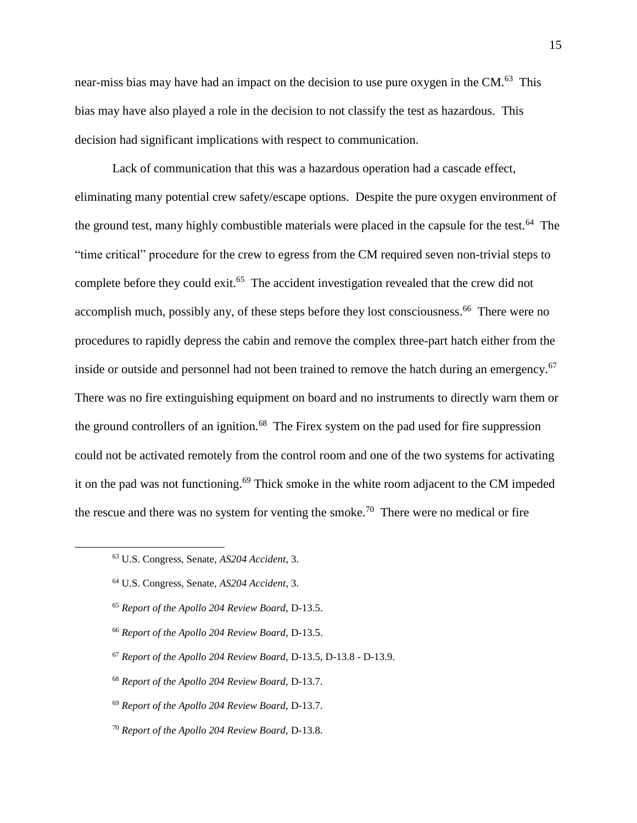near-miss bias may have had an impact on the decision to use pure oxygen in the CM.<sup>63</sup> This bias may have also played a role in the decision to not classify the test as hazardous. This decision had significant implications with respect to communication.

Lack of communication that this was a hazardous operation had a cascade effect, eliminating many potential crew safety/escape options. Despite the pure oxygen environment of the ground test, many highly combustible materials were placed in the capsule for the test.<sup>64</sup> The "time critical" procedure for the crew to egress from the CM required seven non-trivial steps to complete before they could exit.<sup>65</sup> The accident investigation revealed that the crew did not accomplish much, possibly any, of these steps before they lost consciousness.<sup>66</sup> There were no procedures to rapidly depress the cabin and remove the complex three-part hatch either from the inside or outside and personnel had not been trained to remove the hatch during an emergency.<sup>67</sup> There was no fire extinguishing equipment on board and no instruments to directly warn them or the ground controllers of an ignition.<sup>68</sup> The Firex system on the pad used for fire suppression could not be activated remotely from the control room and one of the two systems for activating it on the pad was not functioning.<sup>69</sup> Thick smoke in the white room adjacent to the CM impeded the rescue and there was no system for venting the smoke.<sup>70</sup> There were no medical or fire

- <sup>66</sup> *Report of the Apollo 204 Review Board,* D-13.5.
- <sup>67</sup> *Report of the Apollo 204 Review Board,* D-13.5, D-13.8 D-13.9.
- <sup>68</sup> *Report of the Apollo 204 Review Board,* D-13.7.
- <sup>69</sup> *Report of the Apollo 204 Review Board,* D-13.7.
- <sup>70</sup> *Report of the Apollo 204 Review Board,* D-13.8.

<sup>63</sup> U.S. Congress, Senate, *AS204 Accident*, 3.

<sup>64</sup> U.S. Congress, Senate, *AS204 Accident*, 3.

<sup>65</sup> *Report of the Apollo 204 Review Board,* D-13.5.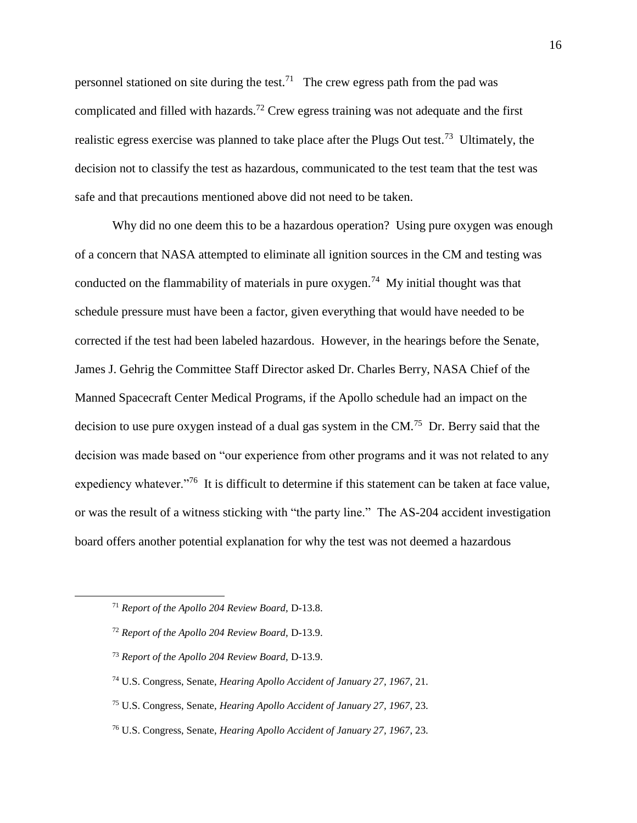personnel stationed on site during the test.<sup>71</sup> The crew egress path from the pad was complicated and filled with hazards.<sup>72</sup> Crew egress training was not adequate and the first realistic egress exercise was planned to take place after the Plugs Out test.<sup>73</sup> Ultimately, the decision not to classify the test as hazardous, communicated to the test team that the test was safe and that precautions mentioned above did not need to be taken.

Why did no one deem this to be a hazardous operation? Using pure oxygen was enough of a concern that NASA attempted to eliminate all ignition sources in the CM and testing was conducted on the flammability of materials in pure oxygen.<sup>74</sup> My initial thought was that schedule pressure must have been a factor, given everything that would have needed to be corrected if the test had been labeled hazardous. However, in the hearings before the Senate, James J. Gehrig the Committee Staff Director asked Dr. Charles Berry, NASA Chief of the Manned Spacecraft Center Medical Programs, if the Apollo schedule had an impact on the decision to use pure oxygen instead of a dual gas system in the  $CM$ .<sup>75</sup> Dr. Berry said that the decision was made based on "our experience from other programs and it was not related to any expediency whatever."<sup>76</sup> It is difficult to determine if this statement can be taken at face value, or was the result of a witness sticking with "the party line." The AS-204 accident investigation board offers another potential explanation for why the test was not deemed a hazardous

<sup>71</sup> *Report of the Apollo 204 Review Board,* D-13.8.

<sup>72</sup> *Report of the Apollo 204 Review Board,* D-13.9.

<sup>73</sup> *Report of the Apollo 204 Review Board,* D-13.9.

<sup>74</sup> U.S. Congress, Senate, *Hearing Apollo Accident of January 27, 1967*, 21.

<sup>75</sup> U.S. Congress, Senate, *Hearing Apollo Accident of January 27, 1967*, 23.

<sup>76</sup> U.S. Congress, Senate, *Hearing Apollo Accident of January 27, 1967*, 23.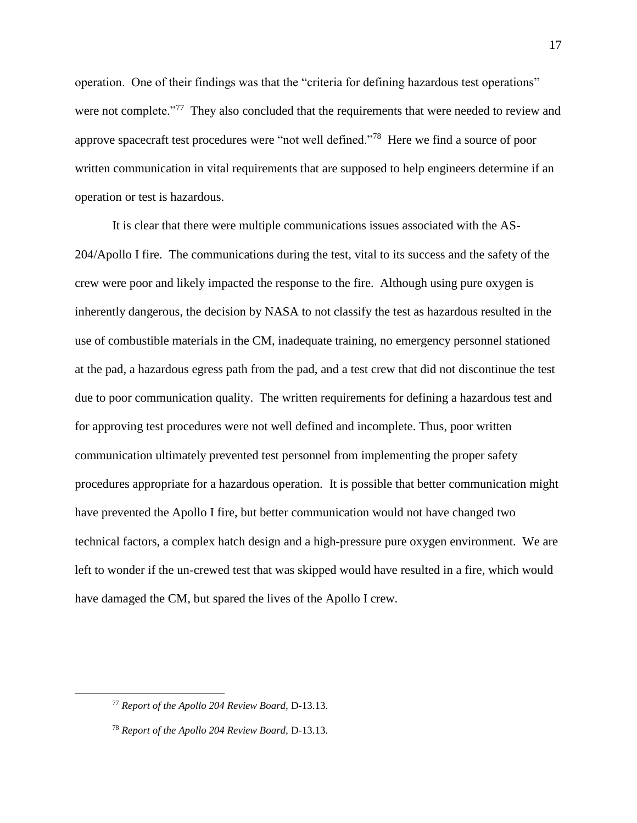operation. One of their findings was that the "criteria for defining hazardous test operations" were not complete."<sup>77</sup> They also concluded that the requirements that were needed to review and approve spacecraft test procedures were "not well defined."<sup>78</sup> Here we find a source of poor written communication in vital requirements that are supposed to help engineers determine if an operation or test is hazardous.

It is clear that there were multiple communications issues associated with the AS-204/Apollo I fire. The communications during the test, vital to its success and the safety of the crew were poor and likely impacted the response to the fire. Although using pure oxygen is inherently dangerous, the decision by NASA to not classify the test as hazardous resulted in the use of combustible materials in the CM, inadequate training, no emergency personnel stationed at the pad, a hazardous egress path from the pad, and a test crew that did not discontinue the test due to poor communication quality. The written requirements for defining a hazardous test and for approving test procedures were not well defined and incomplete. Thus, poor written communication ultimately prevented test personnel from implementing the proper safety procedures appropriate for a hazardous operation. It is possible that better communication might have prevented the Apollo I fire, but better communication would not have changed two technical factors, a complex hatch design and a high-pressure pure oxygen environment. We are left to wonder if the un-crewed test that was skipped would have resulted in a fire, which would have damaged the CM, but spared the lives of the Apollo I crew.

<sup>77</sup> *Report of the Apollo 204 Review Board,* D-13.13.

<sup>78</sup> *Report of the Apollo 204 Review Board,* D-13.13.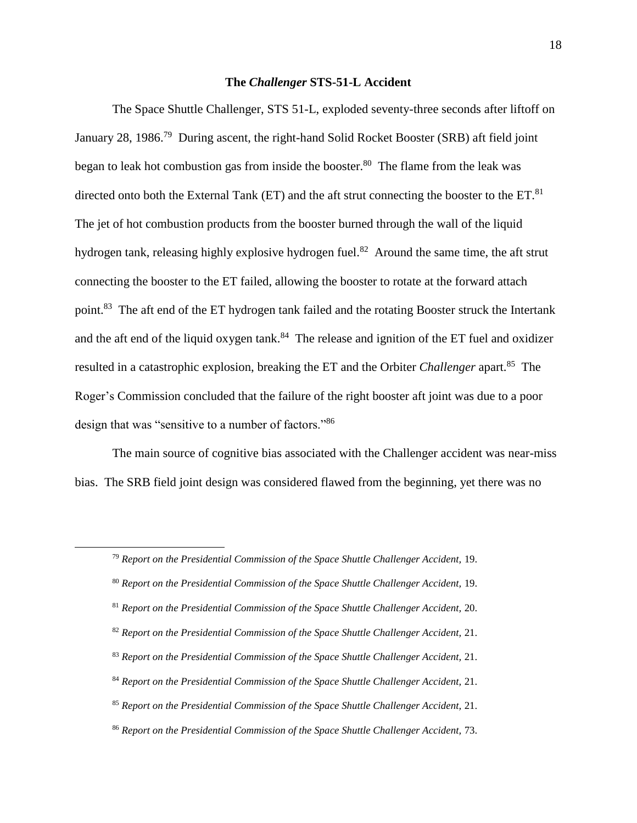#### **The** *Challenger* **STS-51-L Accident**

The Space Shuttle Challenger, STS 51-L, exploded seventy-three seconds after liftoff on January 28, 1986.<sup>79</sup> During ascent, the right-hand Solid Rocket Booster (SRB) aft field joint began to leak hot combustion gas from inside the booster.<sup>80</sup> The flame from the leak was directed onto both the External Tank (ET) and the aft strut connecting the booster to the ET.<sup>81</sup> The jet of hot combustion products from the booster burned through the wall of the liquid hydrogen tank, releasing highly explosive hydrogen fuel.<sup>82</sup> Around the same time, the aft strut connecting the booster to the ET failed, allowing the booster to rotate at the forward attach point.<sup>83</sup> The aft end of the ET hydrogen tank failed and the rotating Booster struck the Intertank and the aft end of the liquid oxygen tank. $84$  The release and ignition of the ET fuel and oxidizer resulted in a catastrophic explosion, breaking the ET and the Orbiter *Challenger* apart.<sup>85</sup> The Roger's Commission concluded that the failure of the right booster aft joint was due to a poor design that was "sensitive to a number of factors."<sup>86</sup>

The main source of cognitive bias associated with the Challenger accident was near-miss bias. The SRB field joint design was considered flawed from the beginning, yet there was no

- <sup>81</sup> *Report on the Presidential Commission of the Space Shuttle Challenger Accident,* 20.
- <sup>82</sup> *Report on the Presidential Commission of the Space Shuttle Challenger Accident,* 21.
- <sup>83</sup> *Report on the Presidential Commission of the Space Shuttle Challenger Accident,* 21.
- <sup>84</sup> *Report on the Presidential Commission of the Space Shuttle Challenger Accident,* 21.
- <sup>85</sup> *Report on the Presidential Commission of the Space Shuttle Challenger Accident,* 21.
- <sup>86</sup> *Report on the Presidential Commission of the Space Shuttle Challenger Accident,* 73.

<sup>79</sup> *Report on the Presidential Commission of the Space Shuttle Challenger Accident,* 19.

<sup>80</sup> *Report on the Presidential Commission of the Space Shuttle Challenger Accident,* 19.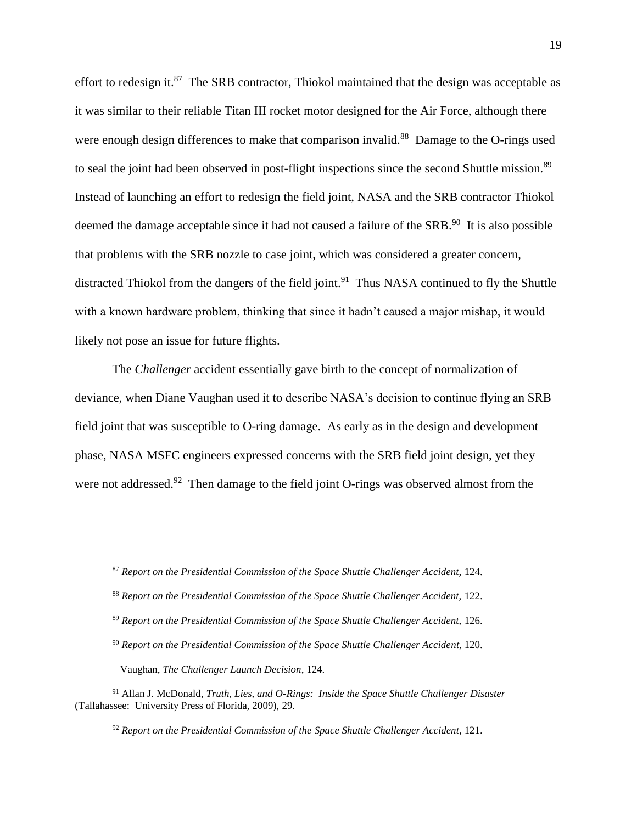effort to redesign it.<sup>87</sup> The SRB contractor, Thiokol maintained that the design was acceptable as it was similar to their reliable Titan III rocket motor designed for the Air Force, although there were enough design differences to make that comparison invalid.<sup>88</sup> Damage to the O-rings used to seal the joint had been observed in post-flight inspections since the second Shuttle mission.<sup>89</sup> Instead of launching an effort to redesign the field joint, NASA and the SRB contractor Thiokol deemed the damage acceptable since it had not caused a failure of the SRB.<sup>90</sup> It is also possible that problems with the SRB nozzle to case joint, which was considered a greater concern, distracted Thiokol from the dangers of the field joint.<sup>91</sup> Thus NASA continued to fly the Shuttle with a known hardware problem, thinking that since it hadn't caused a major mishap, it would likely not pose an issue for future flights.

The *Challenger* accident essentially gave birth to the concept of normalization of deviance, when Diane Vaughan used it to describe NASA's decision to continue flying an SRB field joint that was susceptible to O-ring damage. As early as in the design and development phase, NASA MSFC engineers expressed concerns with the SRB field joint design, yet they were not addressed.<sup>92</sup> Then damage to the field joint O-rings was observed almost from the

- <sup>89</sup> *Report on the Presidential Commission of the Space Shuttle Challenger Accident,* 126.
- <sup>90</sup> *Report on the Presidential Commission of the Space Shuttle Challenger Accident,* 120.

Vaughan, *The Challenger Launch Decision*, 124.

<sup>87</sup> *Report on the Presidential Commission of the Space Shuttle Challenger Accident,* 124.

<sup>88</sup> *Report on the Presidential Commission of the Space Shuttle Challenger Accident,* 122.

<sup>91</sup> Allan J. McDonald, *Truth, Lies, and O-Rings: Inside the Space Shuttle Challenger Disaster* (Tallahassee: University Press of Florida, 2009), 29.

<sup>92</sup> *Report on the Presidential Commission of the Space Shuttle Challenger Accident,* 121.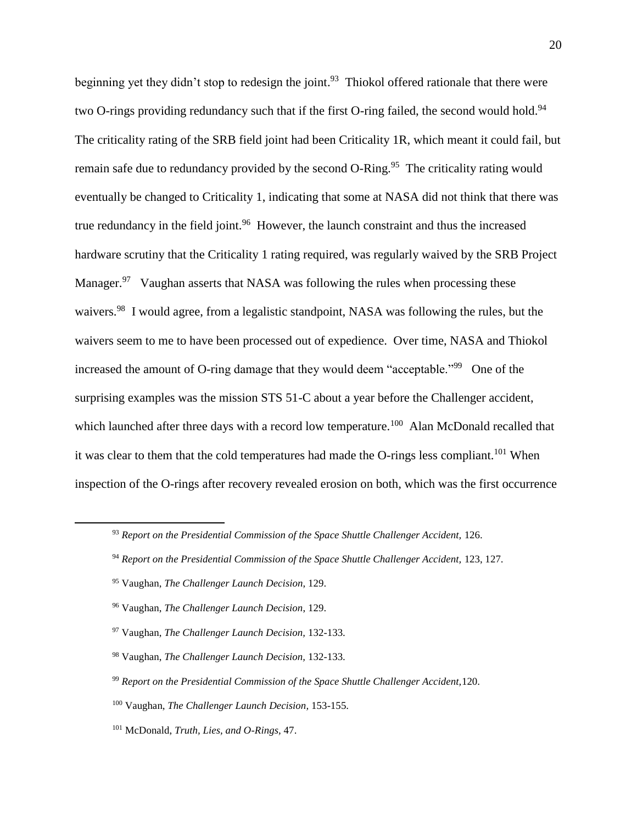beginning yet they didn't stop to redesign the joint.<sup>93</sup> Thiokol offered rationale that there were two O-rings providing redundancy such that if the first O-ring failed, the second would hold.<sup>94</sup> The criticality rating of the SRB field joint had been Criticality 1R, which meant it could fail, but remain safe due to redundancy provided by the second O-Ring.<sup>95</sup> The criticality rating would eventually be changed to Criticality 1, indicating that some at NASA did not think that there was true redundancy in the field joint.<sup>96</sup> However, the launch constraint and thus the increased hardware scrutiny that the Criticality 1 rating required, was regularly waived by the SRB Project Manager.<sup>97</sup> Vaughan asserts that NASA was following the rules when processing these waivers.<sup>98</sup> I would agree, from a legalistic standpoint, NASA was following the rules, but the waivers seem to me to have been processed out of expedience. Over time, NASA and Thiokol increased the amount of O-ring damage that they would deem "acceptable."<sup>99</sup> One of the surprising examples was the mission STS 51-C about a year before the Challenger accident, which launched after three days with a record low temperature.<sup>100</sup> Alan McDonald recalled that it was clear to them that the cold temperatures had made the O-rings less compliant.<sup>101</sup> When inspection of the O-rings after recovery revealed erosion on both, which was the first occurrence

<sup>93</sup> *Report on the Presidential Commission of the Space Shuttle Challenger Accident,* 126.

<sup>94</sup> *Report on the Presidential Commission of the Space Shuttle Challenger Accident,* 123, 127.

<sup>95</sup> Vaughan, *The Challenger Launch Decision*, 129.

<sup>96</sup> Vaughan, *The Challenger Launch Decision*, 129.

<sup>97</sup> Vaughan, *The Challenger Launch Decision,* 132-133.

<sup>98</sup> Vaughan, *The Challenger Launch Decision,* 132-133.

<sup>99</sup> *Report on the Presidential Commission of the Space Shuttle Challenger Accident,*120.

<sup>100</sup> Vaughan, *The Challenger Launch Decision,* 153-155.

<sup>101</sup> McDonald, *Truth, Lies, and O-Rings,* 47.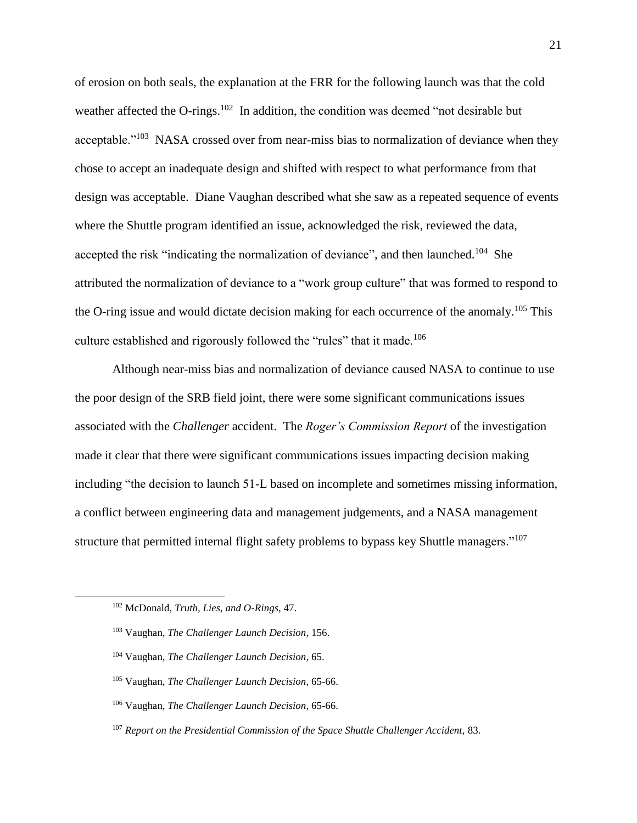of erosion on both seals, the explanation at the FRR for the following launch was that the cold weather affected the O-rings.<sup>102</sup> In addition, the condition was deemed "not desirable but acceptable."<sup>103</sup> NASA crossed over from near-miss bias to normalization of deviance when they chose to accept an inadequate design and shifted with respect to what performance from that design was acceptable. Diane Vaughan described what she saw as a repeated sequence of events where the Shuttle program identified an issue, acknowledged the risk, reviewed the data, accepted the risk "indicating the normalization of deviance", and then launched.<sup>104</sup> She attributed the normalization of deviance to a "work group culture" that was formed to respond to the O-ring issue and would dictate decision making for each occurrence of the anomaly.<sup>105</sup> This culture established and rigorously followed the "rules" that it made.<sup>106</sup>

Although near-miss bias and normalization of deviance caused NASA to continue to use the poor design of the SRB field joint, there were some significant communications issues associated with the *Challenger* accident. The *Roger's Commission Report* of the investigation made it clear that there were significant communications issues impacting decision making including "the decision to launch 51-L based on incomplete and sometimes missing information, a conflict between engineering data and management judgements, and a NASA management structure that permitted internal flight safety problems to bypass key Shuttle managers."<sup>107</sup>

- <sup>104</sup> Vaughan, *The Challenger Launch Decision,* 65.
- <sup>105</sup> Vaughan, *The Challenger Launch Decision,* 65-66.
- <sup>106</sup> Vaughan, *The Challenger Launch Decision*, 65-66.
- <sup>107</sup> *Report on the Presidential Commission of the Space Shuttle Challenger Accident,* 83.

<sup>102</sup> McDonald, *Truth, Lies, and O-Rings*, 47.

<sup>103</sup> Vaughan, *The Challenger Launch Decision*, 156.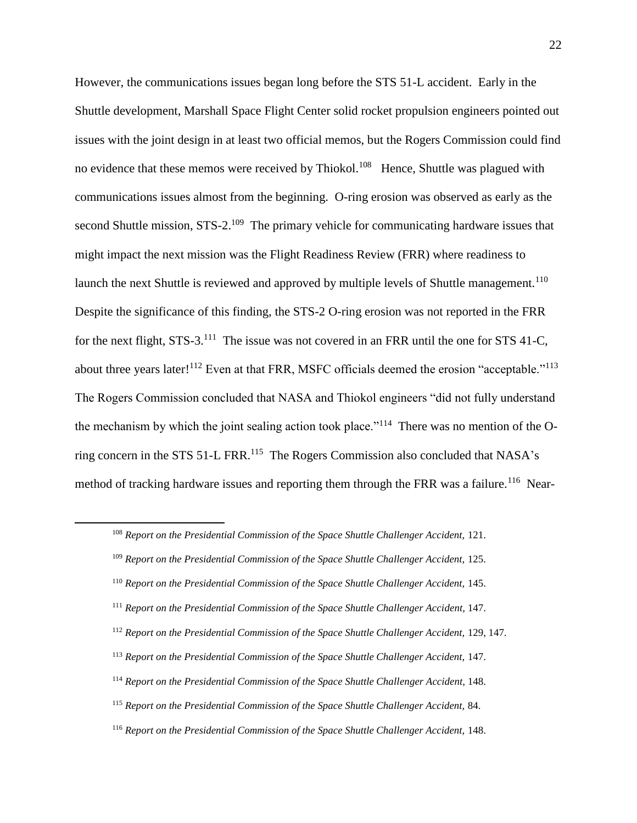However, the communications issues began long before the STS 51-L accident. Early in the Shuttle development, Marshall Space Flight Center solid rocket propulsion engineers pointed out issues with the joint design in at least two official memos, but the Rogers Commission could find no evidence that these memos were received by Thiokol.<sup>108</sup> Hence, Shuttle was plagued with communications issues almost from the beginning. O-ring erosion was observed as early as the second Shuttle mission, STS-2.<sup>109</sup> The primary vehicle for communicating hardware issues that might impact the next mission was the Flight Readiness Review (FRR) where readiness to launch the next Shuttle is reviewed and approved by multiple levels of Shuttle management.<sup>110</sup> Despite the significance of this finding, the STS-2 O-ring erosion was not reported in the FRR for the next flight, STS-3.<sup>111</sup> The issue was not covered in an FRR until the one for STS 41-C, about three years later!<sup>112</sup> Even at that FRR, MSFC officials deemed the erosion "acceptable."<sup>113</sup> The Rogers Commission concluded that NASA and Thiokol engineers "did not fully understand the mechanism by which the joint sealing action took place."<sup>114</sup> There was no mention of the Oring concern in the STS 51-L FRR.<sup>115</sup> The Rogers Commission also concluded that NASA's method of tracking hardware issues and reporting them through the FRR was a failure.<sup>116</sup> Near-

<sup>108</sup> *Report on the Presidential Commission of the Space Shuttle Challenger Accident,* 121.

<sup>109</sup> *Report on the Presidential Commission of the Space Shuttle Challenger Accident,* 125.

<sup>110</sup> *Report on the Presidential Commission of the Space Shuttle Challenger Accident,* 145.

<sup>111</sup> *Report on the Presidential Commission of the Space Shuttle Challenger Accident,* 147.

<sup>112</sup> *Report on the Presidential Commission of the Space Shuttle Challenger Accident,* 129, 147.

<sup>113</sup> *Report on the Presidential Commission of the Space Shuttle Challenger Accident,* 147.

<sup>114</sup> *Report on the Presidential Commission of the Space Shuttle Challenger Accident,* 148.

<sup>115</sup> *Report on the Presidential Commission of the Space Shuttle Challenger Accident,* 84.

<sup>116</sup> *Report on the Presidential Commission of the Space Shuttle Challenger Accident,* 148.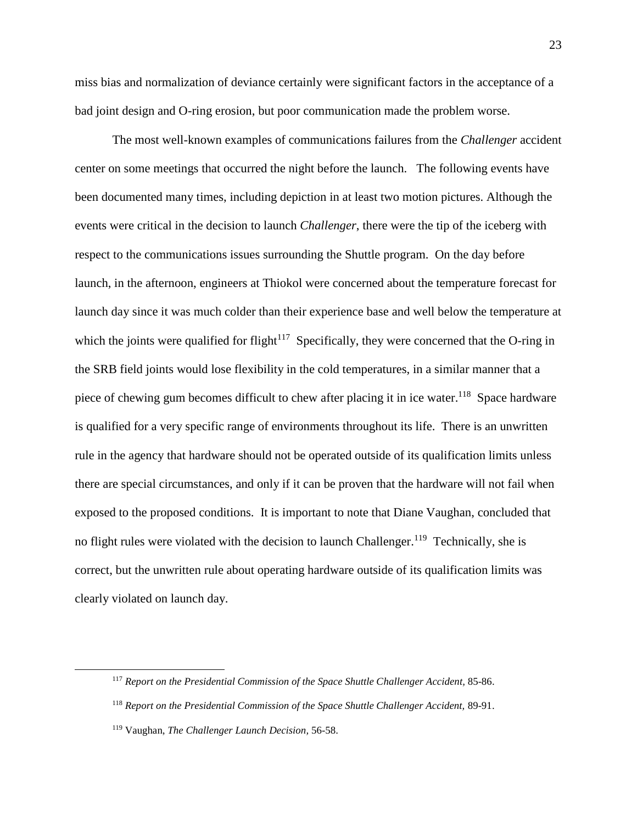miss bias and normalization of deviance certainly were significant factors in the acceptance of a bad joint design and O-ring erosion, but poor communication made the problem worse.

The most well-known examples of communications failures from the *Challenger* accident center on some meetings that occurred the night before the launch. The following events have been documented many times, including depiction in at least two motion pictures. Although the events were critical in the decision to launch *Challenger*, there were the tip of the iceberg with respect to the communications issues surrounding the Shuttle program. On the day before launch, in the afternoon, engineers at Thiokol were concerned about the temperature forecast for launch day since it was much colder than their experience base and well below the temperature at which the joints were qualified for flight<sup> $117$ </sup> Specifically, they were concerned that the O-ring in the SRB field joints would lose flexibility in the cold temperatures, in a similar manner that a piece of chewing gum becomes difficult to chew after placing it in ice water.<sup>118</sup> Space hardware is qualified for a very specific range of environments throughout its life. There is an unwritten rule in the agency that hardware should not be operated outside of its qualification limits unless there are special circumstances, and only if it can be proven that the hardware will not fail when exposed to the proposed conditions. It is important to note that Diane Vaughan, concluded that no flight rules were violated with the decision to launch Challenger.<sup>119</sup> Technically, she is correct, but the unwritten rule about operating hardware outside of its qualification limits was clearly violated on launch day.

<sup>117</sup> *Report on the Presidential Commission of the Space Shuttle Challenger Accident,* 85-86.

<sup>118</sup> *Report on the Presidential Commission of the Space Shuttle Challenger Accident,* 89-91.

<sup>119</sup> Vaughan, *The Challenger Launch Decision,* 56-58.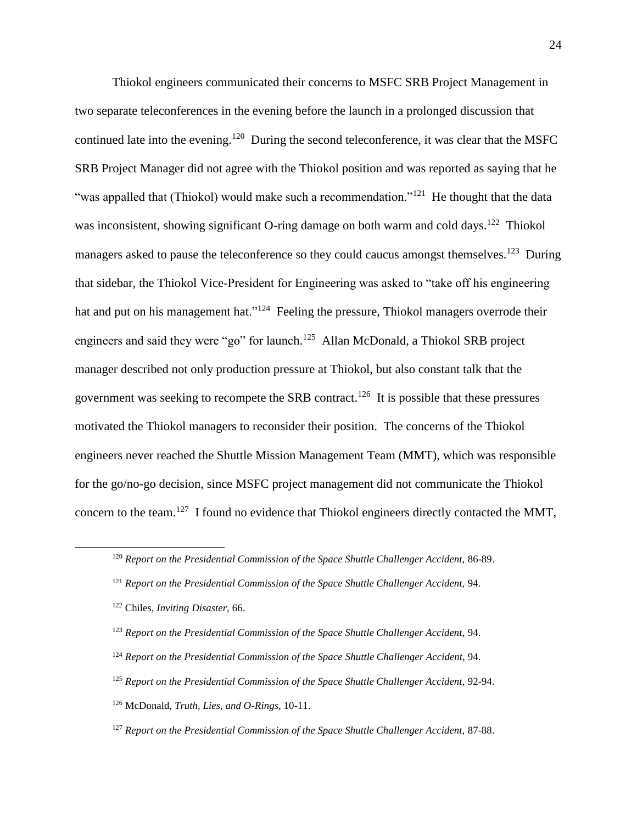Thiokol engineers communicated their concerns to MSFC SRB Project Management in two separate teleconferences in the evening before the launch in a prolonged discussion that continued late into the evening.<sup>120</sup> During the second teleconference, it was clear that the MSFC SRB Project Manager did not agree with the Thiokol position and was reported as saying that he "was appalled that (Thiokol) would make such a recommendation."<sup>121</sup> He thought that the data was inconsistent, showing significant O-ring damage on both warm and cold days.<sup>122</sup> Thiokol managers asked to pause the teleconference so they could caucus amongst themselves.<sup>123</sup> During that sidebar, the Thiokol Vice-President for Engineering was asked to "take off his engineering hat and put on his management hat."<sup>124</sup> Feeling the pressure, Thiokol managers overrode their engineers and said they were "go" for launch.<sup>125</sup> Allan McDonald, a Thiokol SRB project manager described not only production pressure at Thiokol, but also constant talk that the government was seeking to recompete the SRB contract.<sup>126</sup> It is possible that these pressures motivated the Thiokol managers to reconsider their position. The concerns of the Thiokol engineers never reached the Shuttle Mission Management Team (MMT), which was responsible for the go/no-go decision, since MSFC project management did not communicate the Thiokol concern to the team.<sup>127</sup> I found no evidence that Thiokol engineers directly contacted the MMT,

- <sup>123</sup> *Report on the Presidential Commission of the Space Shuttle Challenger Accident,* 94.
- <sup>124</sup> *Report on the Presidential Commission of the Space Shuttle Challenger Accident,* 94.
- <sup>125</sup> *Report on the Presidential Commission of the Space Shuttle Challenger Accident,* 92-94.
- <sup>126</sup> McDonald, *Truth, Lies, and O-Rings*, 10-11.
- <sup>127</sup> *Report on the Presidential Commission of the Space Shuttle Challenger Accident,* 87-88.

<sup>120</sup> *Report on the Presidential Commission of the Space Shuttle Challenger Accident,* 86-89.

<sup>121</sup> *Report on the Presidential Commission of the Space Shuttle Challenger Accident,* 94.

<sup>122</sup> Chiles, *Inviting Disaster,* 66.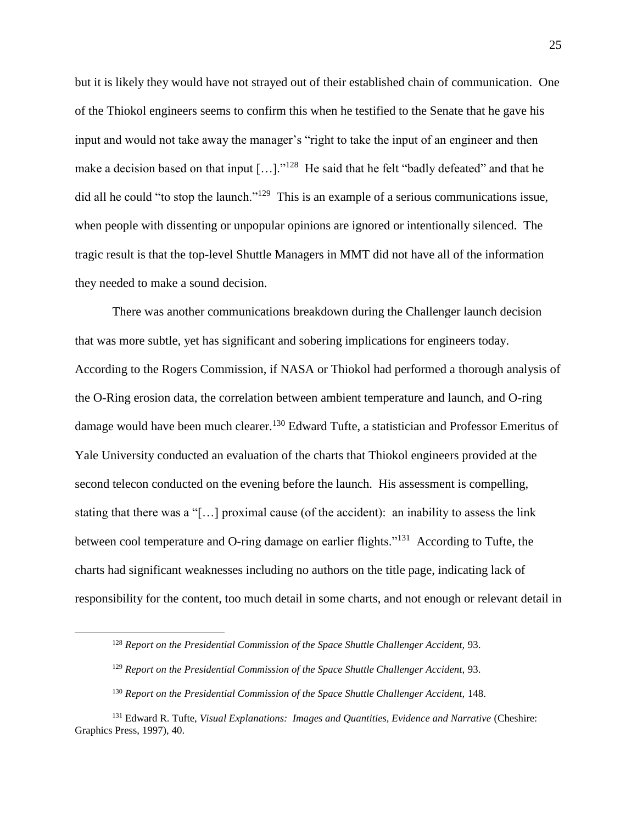but it is likely they would have not strayed out of their established chain of communication. One of the Thiokol engineers seems to confirm this when he testified to the Senate that he gave his input and would not take away the manager's "right to take the input of an engineer and then make a decision based on that input  $[\dots]$ ."<sup>128</sup> He said that he felt "badly defeated" and that he did all he could "to stop the launch."<sup>129</sup> This is an example of a serious communications issue, when people with dissenting or unpopular opinions are ignored or intentionally silenced. The tragic result is that the top-level Shuttle Managers in MMT did not have all of the information they needed to make a sound decision.

There was another communications breakdown during the Challenger launch decision that was more subtle, yet has significant and sobering implications for engineers today. According to the Rogers Commission, if NASA or Thiokol had performed a thorough analysis of the O-Ring erosion data, the correlation between ambient temperature and launch, and O-ring damage would have been much clearer.<sup>130</sup> Edward Tufte, a statistician and Professor Emeritus of Yale University conducted an evaluation of the charts that Thiokol engineers provided at the second telecon conducted on the evening before the launch. His assessment is compelling, stating that there was a "[…] proximal cause (of the accident): an inability to assess the link between cool temperature and O-ring damage on earlier flights."<sup>131</sup> According to Tufte, the charts had significant weaknesses including no authors on the title page, indicating lack of responsibility for the content, too much detail in some charts, and not enough or relevant detail in

<sup>128</sup> *Report on the Presidential Commission of the Space Shuttle Challenger Accident,* 93.

<sup>129</sup> *Report on the Presidential Commission of the Space Shuttle Challenger Accident,* 93.

<sup>130</sup> *Report on the Presidential Commission of the Space Shuttle Challenger Accident,* 148.

<sup>131</sup> Edward R. Tufte, *Visual Explanations: Images and Quantities, Evidence and Narrative* (Cheshire: Graphics Press, 1997), 40.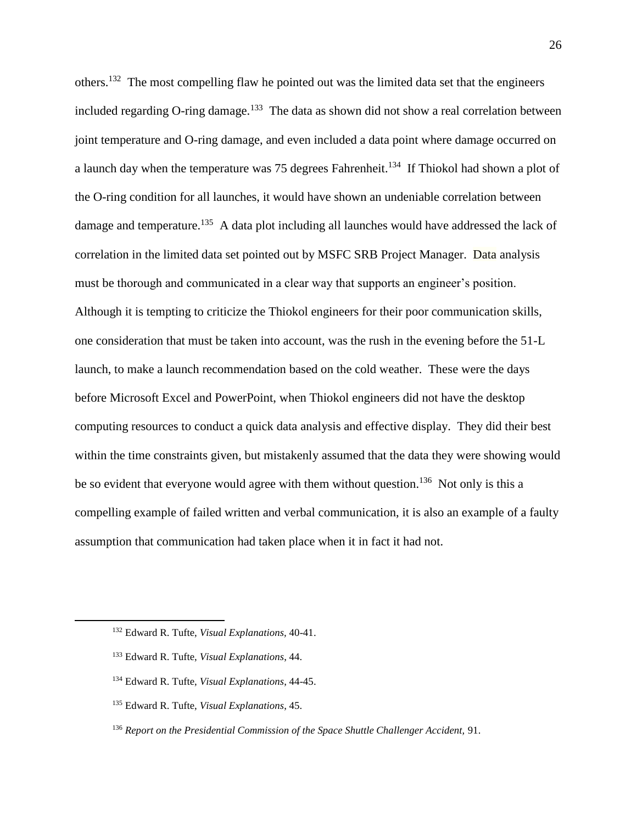others.<sup>132</sup> The most compelling flaw he pointed out was the limited data set that the engineers included regarding O-ring damage.<sup>133</sup> The data as shown did not show a real correlation between joint temperature and O-ring damage, and even included a data point where damage occurred on a launch day when the temperature was 75 degrees Fahrenheit.<sup>134</sup> If Thiokol had shown a plot of the O-ring condition for all launches, it would have shown an undeniable correlation between damage and temperature.<sup>135</sup> A data plot including all launches would have addressed the lack of correlation in the limited data set pointed out by MSFC SRB Project Manager. Data analysis must be thorough and communicated in a clear way that supports an engineer's position. Although it is tempting to criticize the Thiokol engineers for their poor communication skills, one consideration that must be taken into account, was the rush in the evening before the 51-L launch, to make a launch recommendation based on the cold weather. These were the days before Microsoft Excel and PowerPoint, when Thiokol engineers did not have the desktop computing resources to conduct a quick data analysis and effective display. They did their best within the time constraints given, but mistakenly assumed that the data they were showing would be so evident that everyone would agree with them without question.<sup>136</sup> Not only is this a compelling example of failed written and verbal communication, it is also an example of a faulty assumption that communication had taken place when it in fact it had not.

<sup>132</sup> Edward R. Tufte, *Visual Explanations,* 40-41.

<sup>133</sup> Edward R. Tufte, *Visual Explanations*, 44.

<sup>134</sup> Edward R. Tufte, *Visual Explanations*, 44-45.

<sup>135</sup> Edward R. Tufte, *Visual Explanations*, 45.

<sup>136</sup> *Report on the Presidential Commission of the Space Shuttle Challenger Accident,* 91.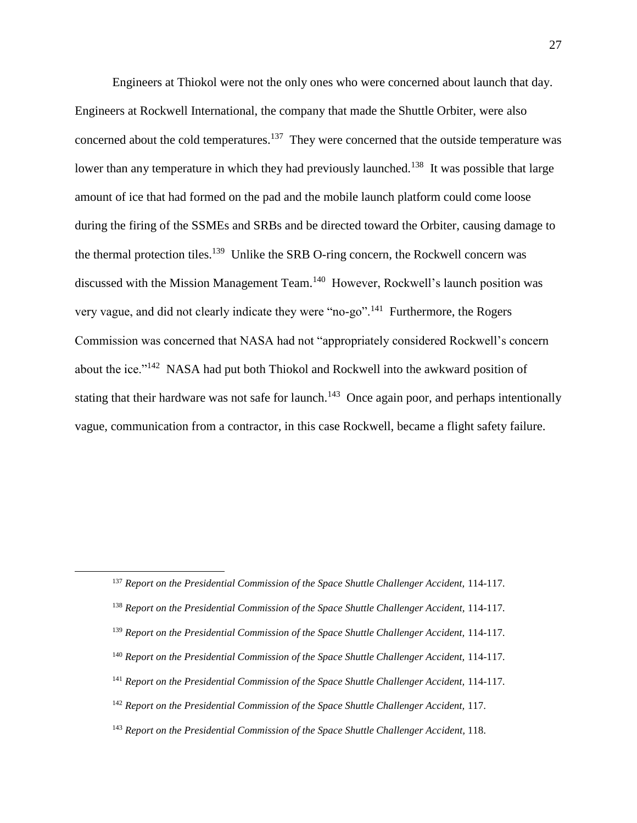Engineers at Thiokol were not the only ones who were concerned about launch that day. Engineers at Rockwell International, the company that made the Shuttle Orbiter, were also concerned about the cold temperatures.<sup>137</sup> They were concerned that the outside temperature was lower than any temperature in which they had previously launched.<sup>138</sup> It was possible that large amount of ice that had formed on the pad and the mobile launch platform could come loose during the firing of the SSMEs and SRBs and be directed toward the Orbiter, causing damage to the thermal protection tiles.<sup>139</sup> Unlike the SRB O-ring concern, the Rockwell concern was discussed with the Mission Management Team.<sup>140</sup> However, Rockwell's launch position was very vague, and did not clearly indicate they were "no-go".<sup>141</sup> Furthermore, the Rogers Commission was concerned that NASA had not "appropriately considered Rockwell's concern about the ice."<sup>142</sup> NASA had put both Thiokol and Rockwell into the awkward position of stating that their hardware was not safe for launch.<sup>143</sup> Once again poor, and perhaps intentionally vague, communication from a contractor, in this case Rockwell, became a flight safety failure.

 $\overline{a}$ 

- <sup>139</sup> *Report on the Presidential Commission of the Space Shuttle Challenger Accident,* 114-117.
- <sup>140</sup> *Report on the Presidential Commission of the Space Shuttle Challenger Accident,* 114-117.
- <sup>141</sup> *Report on the Presidential Commission of the Space Shuttle Challenger Accident,* 114-117.

<sup>143</sup> *Report on the Presidential Commission of the Space Shuttle Challenger Accident,* 118.

<sup>137</sup> *Report on the Presidential Commission of the Space Shuttle Challenger Accident,* 114-117.

<sup>138</sup> *Report on the Presidential Commission of the Space Shuttle Challenger Accident,* 114-117.

<sup>142</sup> *Report on the Presidential Commission of the Space Shuttle Challenger Accident,* 117.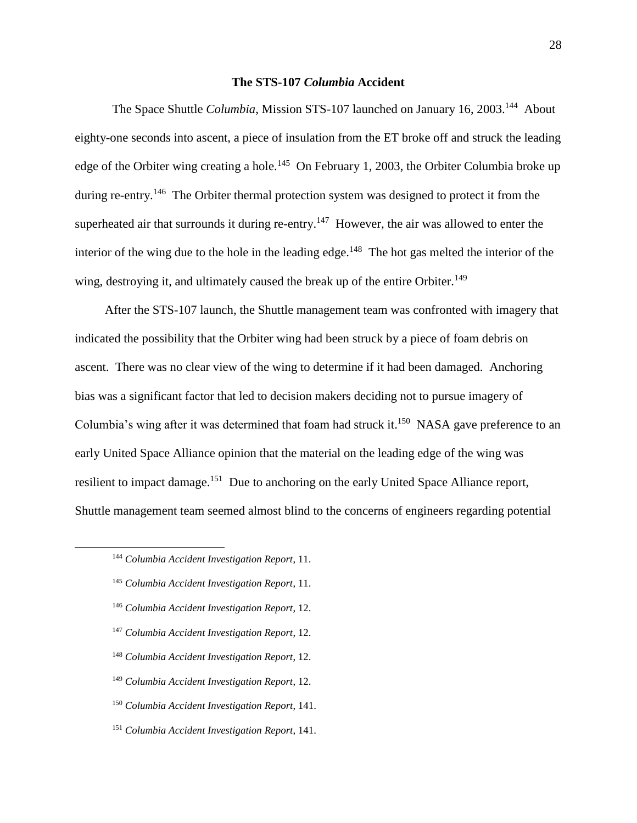#### **The STS-107** *Columbia* **Accident**

The Space Shuttle *Columbia*, Mission STS-107 launched on January 16, 2003.<sup>144</sup> About eighty-one seconds into ascent, a piece of insulation from the ET broke off and struck the leading edge of the Orbiter wing creating a hole.<sup>145</sup> On February 1, 2003, the Orbiter Columbia broke up during re-entry.<sup>146</sup> The Orbiter thermal protection system was designed to protect it from the superheated air that surrounds it during re-entry.<sup>147</sup> However, the air was allowed to enter the interior of the wing due to the hole in the leading edge.<sup>148</sup> The hot gas melted the interior of the wing, destroying it, and ultimately caused the break up of the entire Orbiter.<sup>149</sup>

After the STS-107 launch, the Shuttle management team was confronted with imagery that indicated the possibility that the Orbiter wing had been struck by a piece of foam debris on ascent. There was no clear view of the wing to determine if it had been damaged. Anchoring bias was a significant factor that led to decision makers deciding not to pursue imagery of Columbia's wing after it was determined that foam had struck it.<sup>150</sup> NASA gave preference to an early United Space Alliance opinion that the material on the leading edge of the wing was resilient to impact damage.<sup>151</sup> Due to anchoring on the early United Space Alliance report, Shuttle management team seemed almost blind to the concerns of engineers regarding potential

- <sup>145</sup> *Columbia Accident Investigation Report*, 11.
- <sup>146</sup> *Columbia Accident Investigation Report*, 12.
- <sup>147</sup> *Columbia Accident Investigation Report*, 12.
- <sup>148</sup> *Columbia Accident Investigation Report*, 12.
- <sup>149</sup> *Columbia Accident Investigation Report*, 12.
- <sup>150</sup> *Columbia Accident Investigation Report*, 141.
- <sup>151</sup> *Columbia Accident Investigation Report*, 141.

<sup>144</sup> *Columbia Accident Investigation Report*, 11.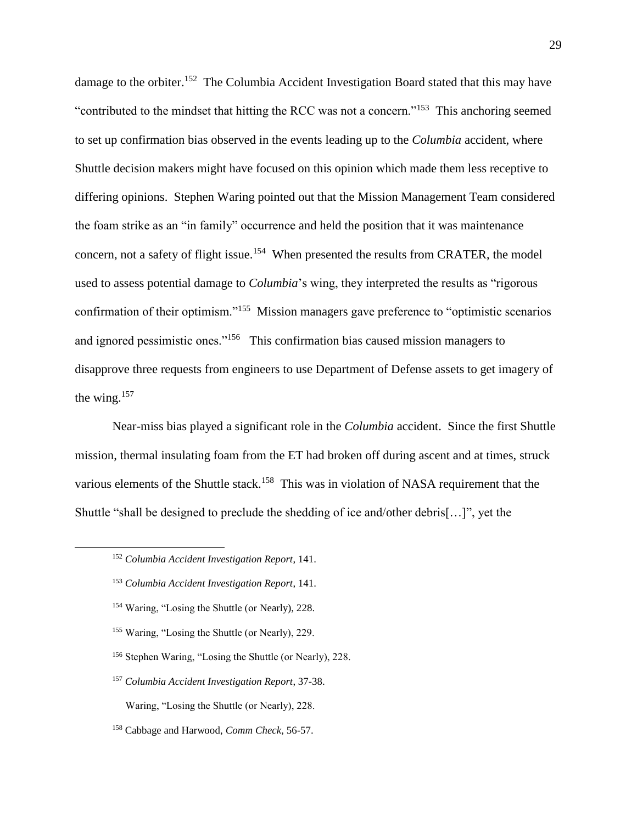damage to the orbiter.<sup>152</sup> The Columbia Accident Investigation Board stated that this may have "contributed to the mindset that hitting the RCC was not a concern."<sup>153</sup> This anchoring seemed to set up confirmation bias observed in the events leading up to the *Columbia* accident, where Shuttle decision makers might have focused on this opinion which made them less receptive to differing opinions. Stephen Waring pointed out that the Mission Management Team considered the foam strike as an "in family" occurrence and held the position that it was maintenance concern, not a safety of flight issue.<sup>154</sup> When presented the results from CRATER, the model used to assess potential damage to *Columbia*'s wing, they interpreted the results as "rigorous confirmation of their optimism."<sup>155</sup> Mission managers gave preference to "optimistic scenarios" and ignored pessimistic ones."<sup>156</sup> This confirmation bias caused mission managers to disapprove three requests from engineers to use Department of Defense assets to get imagery of the wing. $157$ 

Near-miss bias played a significant role in the *Columbia* accident. Since the first Shuttle mission, thermal insulating foam from the ET had broken off during ascent and at times, struck various elements of the Shuttle stack.<sup>158</sup> This was in violation of NASA requirement that the Shuttle "shall be designed to preclude the shedding of ice and/other debris[…]", yet the

 $\overline{a}$ 

- <sup>153</sup> *Columbia Accident Investigation Report*, 141.
- <sup>154</sup> Waring, "Losing the Shuttle (or Nearly), 228.
- <sup>155</sup> Waring, "Losing the Shuttle (or Nearly), 229.
- <sup>156</sup> Stephen Waring, "Losing the Shuttle (or Nearly), 228.
- <sup>157</sup> *Columbia Accident Investigation Report*, 37-38.

Waring, "Losing the Shuttle (or Nearly), 228.

<sup>158</sup> Cabbage and Harwood, *Comm Check*, 56-57.

<sup>152</sup> *Columbia Accident Investigation Report*, 141.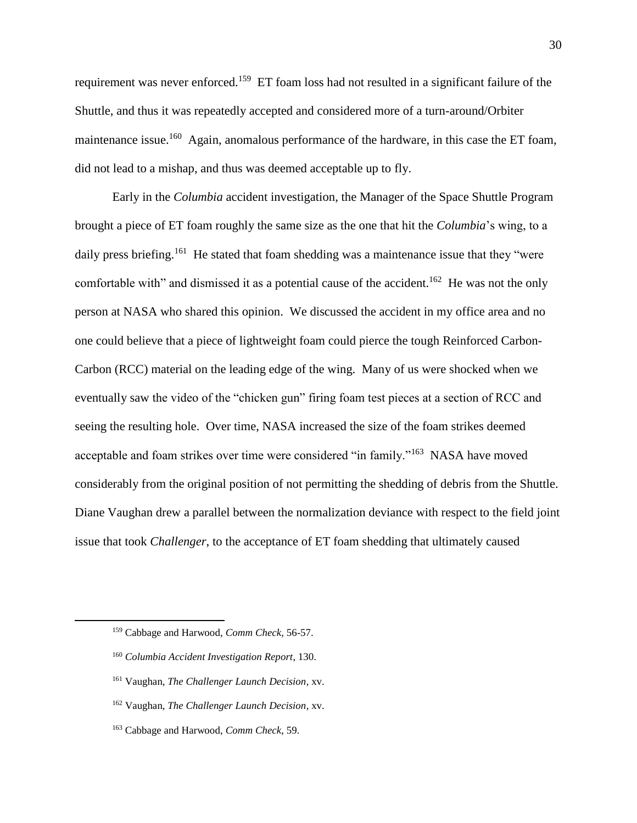requirement was never enforced.<sup>159</sup> ET foam loss had not resulted in a significant failure of the Shuttle, and thus it was repeatedly accepted and considered more of a turn-around/Orbiter maintenance issue.<sup>160</sup> Again, anomalous performance of the hardware, in this case the ET foam, did not lead to a mishap, and thus was deemed acceptable up to fly.

Early in the *Columbia* accident investigation, the Manager of the Space Shuttle Program brought a piece of ET foam roughly the same size as the one that hit the *Columbia*'s wing, to a daily press briefing.<sup>161</sup> He stated that foam shedding was a maintenance issue that they "were comfortable with" and dismissed it as a potential cause of the accident.<sup>162</sup> He was not the only person at NASA who shared this opinion. We discussed the accident in my office area and no one could believe that a piece of lightweight foam could pierce the tough Reinforced Carbon-Carbon (RCC) material on the leading edge of the wing. Many of us were shocked when we eventually saw the video of the "chicken gun" firing foam test pieces at a section of RCC and seeing the resulting hole. Over time, NASA increased the size of the foam strikes deemed acceptable and foam strikes over time were considered "in family."<sup>163</sup> NASA have moved considerably from the original position of not permitting the shedding of debris from the Shuttle. Diane Vaughan drew a parallel between the normalization deviance with respect to the field joint issue that took *Challenger*, to the acceptance of ET foam shedding that ultimately caused

<sup>159</sup> Cabbage and Harwood, *Comm Check,* 56-57.

<sup>160</sup> *Columbia Accident Investigation Report*, 130.

<sup>161</sup> Vaughan, *The Challenger Launch Decision*, xv.

<sup>162</sup> Vaughan, *The Challenger Launch Decision*, xv.

<sup>163</sup> Cabbage and Harwood, *Comm Check*, 59.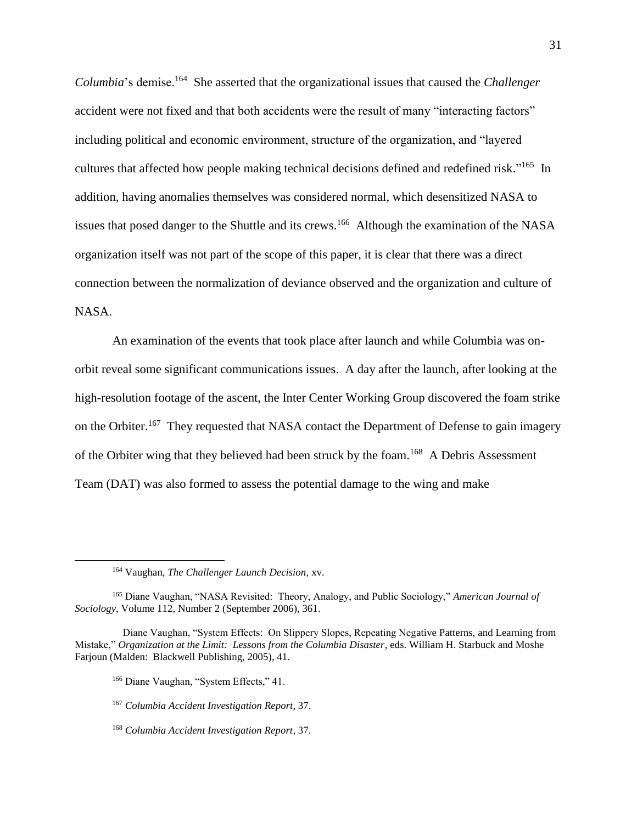*Columbia*'s demise.<sup>164</sup> She asserted that the organizational issues that caused the *Challenger*  accident were not fixed and that both accidents were the result of many "interacting factors" including political and economic environment, structure of the organization, and "layered cultures that affected how people making technical decisions defined and redefined risk."<sup>165</sup> In addition, having anomalies themselves was considered normal, which desensitized NASA to issues that posed danger to the Shuttle and its crews.<sup>166</sup> Although the examination of the NASA organization itself was not part of the scope of this paper, it is clear that there was a direct connection between the normalization of deviance observed and the organization and culture of NASA.

An examination of the events that took place after launch and while Columbia was onorbit reveal some significant communications issues. A day after the launch, after looking at the high-resolution footage of the ascent, the Inter Center Working Group discovered the foam strike on the Orbiter.<sup>167</sup> They requested that NASA contact the Department of Defense to gain imagery of the Orbiter wing that they believed had been struck by the foam.<sup>168</sup> A Debris Assessment Team (DAT) was also formed to assess the potential damage to the wing and make

 $\overline{a}$ 

<sup>166</sup> Diane Vaughan, "System Effects," 41.

<sup>168</sup> *Columbia Accident Investigation Report*, 37.

<sup>164</sup> Vaughan, *The Challenger Launch Decision,* xv.

<sup>165</sup> Diane Vaughan, "NASA Revisited: Theory, Analogy, and Public Sociology," *American Journal of Sociology*, Volume 112, Number 2 (September 2006), 361.

Diane Vaughan, "System Effects: On Slippery Slopes, Repeating Negative Patterns, and Learning from Mistake," *Organization at the Limit: Lessons from the Columbia Disaster*, eds. William H. Starbuck and Moshe Farjoun (Malden: Blackwell Publishing, 2005), 41.

<sup>167</sup> *Columbia Accident Investigation Report*, 37.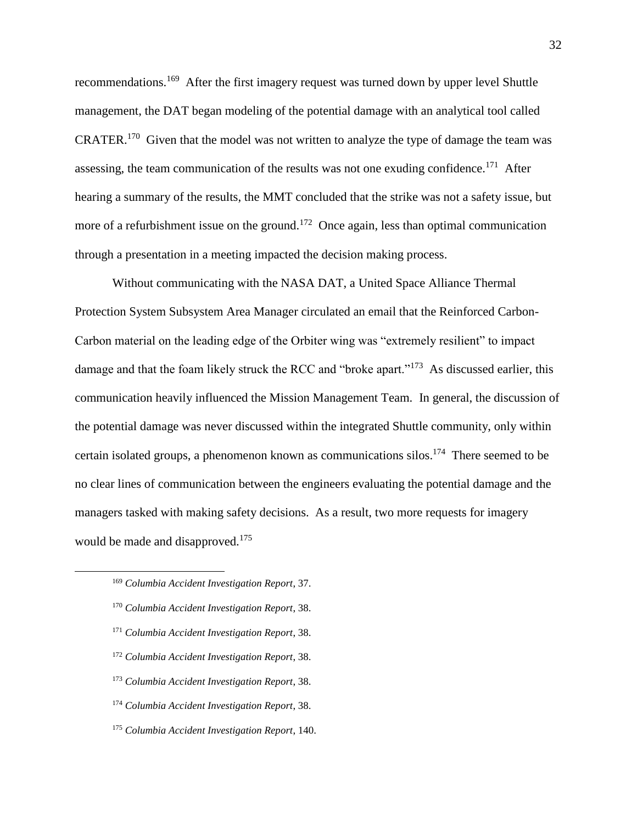recommendations.<sup>169</sup> After the first imagery request was turned down by upper level Shuttle management, the DAT began modeling of the potential damage with an analytical tool called CRATER.<sup>170</sup> Given that the model was not written to analyze the type of damage the team was assessing, the team communication of the results was not one exuding confidence.<sup>171</sup> After hearing a summary of the results, the MMT concluded that the strike was not a safety issue, but more of a refurbishment issue on the ground.<sup>172</sup> Once again, less than optimal communication through a presentation in a meeting impacted the decision making process.

Without communicating with the NASA DAT, a United Space Alliance Thermal Protection System Subsystem Area Manager circulated an email that the Reinforced Carbon-Carbon material on the leading edge of the Orbiter wing was "extremely resilient" to impact damage and that the foam likely struck the RCC and "broke apart."<sup>173</sup> As discussed earlier, this communication heavily influenced the Mission Management Team. In general, the discussion of the potential damage was never discussed within the integrated Shuttle community, only within certain isolated groups, a phenomenon known as communications silos. 174 There seemed to be no clear lines of communication between the engineers evaluating the potential damage and the managers tasked with making safety decisions. As a result, two more requests for imagery would be made and disapproved.<sup>175</sup>

<sup>169</sup> *Columbia Accident Investigation Report*, 37.

- <sup>170</sup> *Columbia Accident Investigation Report*, 38.
- <sup>171</sup> *Columbia Accident Investigation Report*, 38.
- <sup>172</sup> *Columbia Accident Investigation Report*, 38.
- <sup>173</sup> *Columbia Accident Investigation Report*, 38.
- <sup>174</sup> *Columbia Accident Investigation Report*, 38.
- <sup>175</sup> *Columbia Accident Investigation Report*, 140.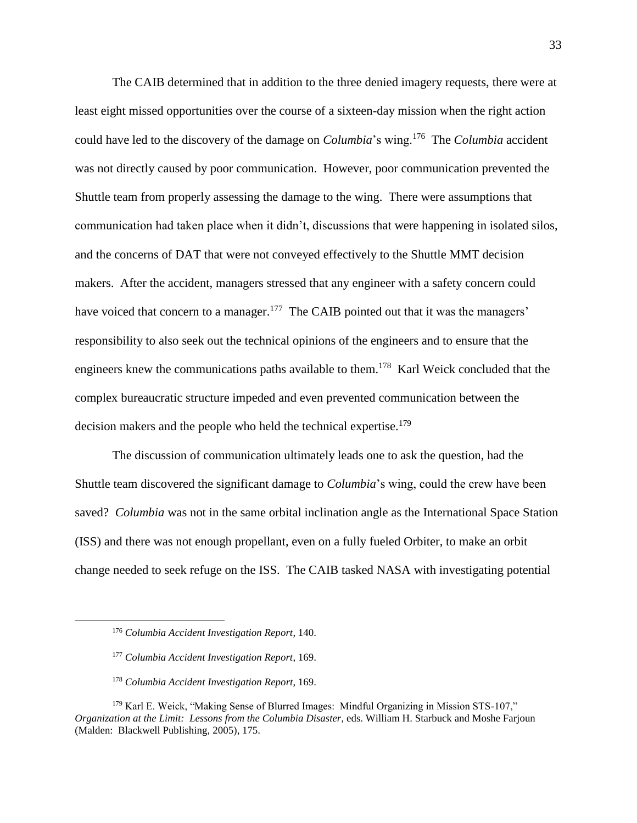The CAIB determined that in addition to the three denied imagery requests, there were at least eight missed opportunities over the course of a sixteen-day mission when the right action could have led to the discovery of the damage on *Columbia*'s wing.<sup>176</sup> The *Columbia* accident was not directly caused by poor communication. However, poor communication prevented the Shuttle team from properly assessing the damage to the wing. There were assumptions that communication had taken place when it didn't, discussions that were happening in isolated silos, and the concerns of DAT that were not conveyed effectively to the Shuttle MMT decision makers. After the accident, managers stressed that any engineer with a safety concern could have voiced that concern to a manager.<sup>177</sup> The CAIB pointed out that it was the managers' responsibility to also seek out the technical opinions of the engineers and to ensure that the engineers knew the communications paths available to them.<sup>178</sup> Karl Weick concluded that the complex bureaucratic structure impeded and even prevented communication between the decision makers and the people who held the technical expertise.<sup>179</sup>

The discussion of communication ultimately leads one to ask the question, had the Shuttle team discovered the significant damage to *Columbia*'s wing, could the crew have been saved? *Columbia* was not in the same orbital inclination angle as the International Space Station (ISS) and there was not enough propellant, even on a fully fueled Orbiter, to make an orbit change needed to seek refuge on the ISS. The CAIB tasked NASA with investigating potential

<sup>176</sup> *Columbia Accident Investigation Report*, 140.

<sup>177</sup> *Columbia Accident Investigation Report*, 169.

<sup>178</sup> *Columbia Accident Investigation Report*, 169.

<sup>179</sup> Karl E. Weick, "Making Sense of Blurred Images: Mindful Organizing in Mission STS-107," *Organization at the Limit: Lessons from the Columbia Disaster*, eds. William H. Starbuck and Moshe Farjoun (Malden: Blackwell Publishing, 2005), 175.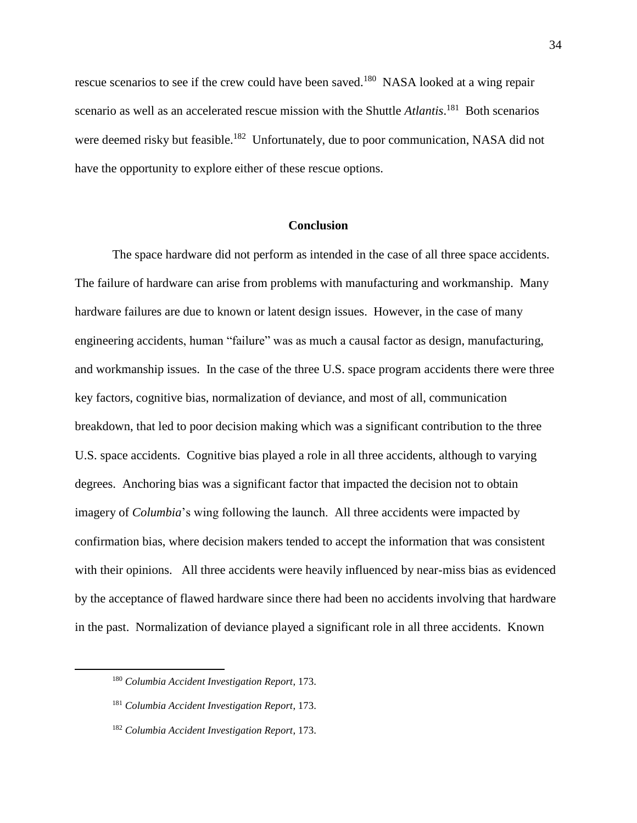rescue scenarios to see if the crew could have been saved.<sup>180</sup> NASA looked at a wing repair scenario as well as an accelerated rescue mission with the Shuttle *Atlantis*.<sup>181</sup> Both scenarios were deemed risky but feasible.<sup>182</sup> Unfortunately, due to poor communication, NASA did not have the opportunity to explore either of these rescue options.

#### **Conclusion**

The space hardware did not perform as intended in the case of all three space accidents. The failure of hardware can arise from problems with manufacturing and workmanship. Many hardware failures are due to known or latent design issues. However, in the case of many engineering accidents, human "failure" was as much a causal factor as design, manufacturing, and workmanship issues. In the case of the three U.S. space program accidents there were three key factors, cognitive bias, normalization of deviance, and most of all, communication breakdown, that led to poor decision making which was a significant contribution to the three U.S. space accidents. Cognitive bias played a role in all three accidents, although to varying degrees. Anchoring bias was a significant factor that impacted the decision not to obtain imagery of *Columbia*'s wing following the launch. All three accidents were impacted by confirmation bias, where decision makers tended to accept the information that was consistent with their opinions. All three accidents were heavily influenced by near-miss bias as evidenced by the acceptance of flawed hardware since there had been no accidents involving that hardware in the past. Normalization of deviance played a significant role in all three accidents. Known

<sup>180</sup> *Columbia Accident Investigation Report*, 173.

<sup>181</sup> *Columbia Accident Investigation Report*, 173.

<sup>182</sup> *Columbia Accident Investigation Report*, 173.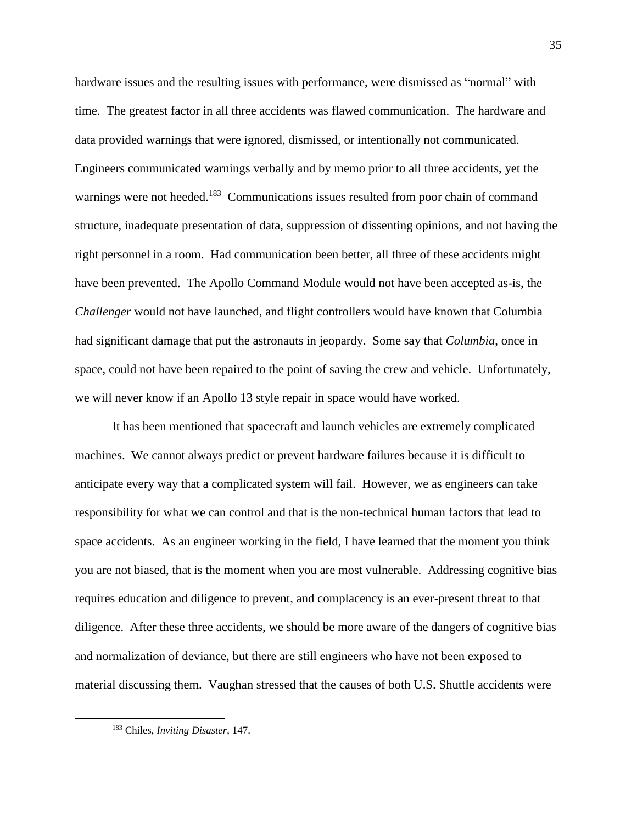hardware issues and the resulting issues with performance, were dismissed as "normal" with time. The greatest factor in all three accidents was flawed communication. The hardware and data provided warnings that were ignored, dismissed, or intentionally not communicated. Engineers communicated warnings verbally and by memo prior to all three accidents, yet the warnings were not heeded.<sup>183</sup> Communications issues resulted from poor chain of command structure, inadequate presentation of data, suppression of dissenting opinions, and not having the right personnel in a room. Had communication been better, all three of these accidents might have been prevented. The Apollo Command Module would not have been accepted as-is, the *Challenger* would not have launched, and flight controllers would have known that Columbia had significant damage that put the astronauts in jeopardy. Some say that *Columbia*, once in space, could not have been repaired to the point of saving the crew and vehicle. Unfortunately, we will never know if an Apollo 13 style repair in space would have worked.

It has been mentioned that spacecraft and launch vehicles are extremely complicated machines. We cannot always predict or prevent hardware failures because it is difficult to anticipate every way that a complicated system will fail. However, we as engineers can take responsibility for what we can control and that is the non-technical human factors that lead to space accidents. As an engineer working in the field, I have learned that the moment you think you are not biased, that is the moment when you are most vulnerable. Addressing cognitive bias requires education and diligence to prevent, and complacency is an ever-present threat to that diligence. After these three accidents, we should be more aware of the dangers of cognitive bias and normalization of deviance, but there are still engineers who have not been exposed to material discussing them. Vaughan stressed that the causes of both U.S. Shuttle accidents were

<sup>183</sup> Chiles, *Inviting Disaster*, 147.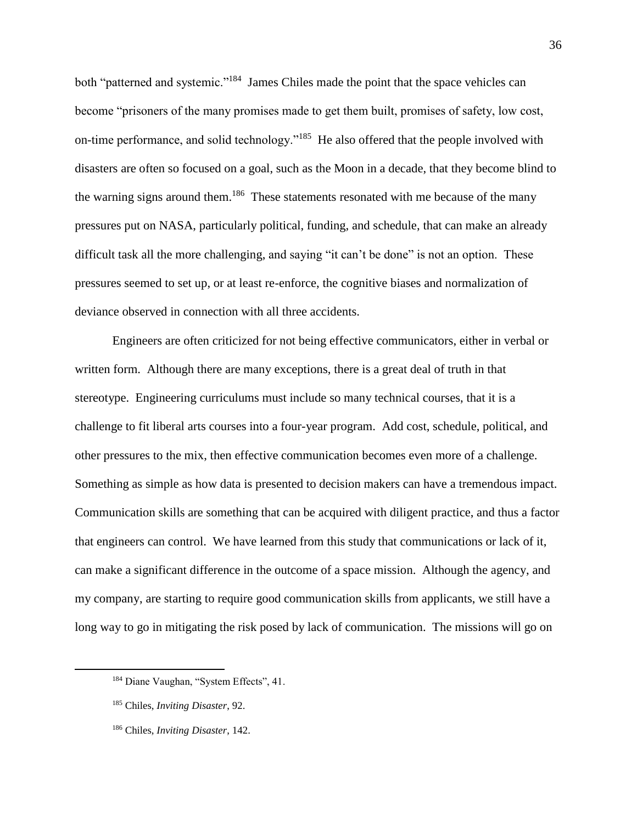both "patterned and systemic."<sup>184</sup> James Chiles made the point that the space vehicles can become "prisoners of the many promises made to get them built, promises of safety, low cost, on-time performance, and solid technology."<sup>185</sup> He also offered that the people involved with disasters are often so focused on a goal, such as the Moon in a decade, that they become blind to the warning signs around them.<sup>186</sup> These statements resonated with me because of the many pressures put on NASA, particularly political, funding, and schedule, that can make an already difficult task all the more challenging, and saying "it can't be done" is not an option. These pressures seemed to set up, or at least re-enforce, the cognitive biases and normalization of deviance observed in connection with all three accidents.

Engineers are often criticized for not being effective communicators, either in verbal or written form. Although there are many exceptions, there is a great deal of truth in that stereotype. Engineering curriculums must include so many technical courses, that it is a challenge to fit liberal arts courses into a four-year program. Add cost, schedule, political, and other pressures to the mix, then effective communication becomes even more of a challenge. Something as simple as how data is presented to decision makers can have a tremendous impact. Communication skills are something that can be acquired with diligent practice, and thus a factor that engineers can control. We have learned from this study that communications or lack of it, can make a significant difference in the outcome of a space mission. Although the agency, and my company, are starting to require good communication skills from applicants, we still have a long way to go in mitigating the risk posed by lack of communication. The missions will go on

<sup>&</sup>lt;sup>184</sup> Diane Vaughan, "System Effects", 41.

<sup>185</sup> Chiles, *Inviting Disaster*, 92.

<sup>186</sup> Chiles, *Inviting Disaster*, 142.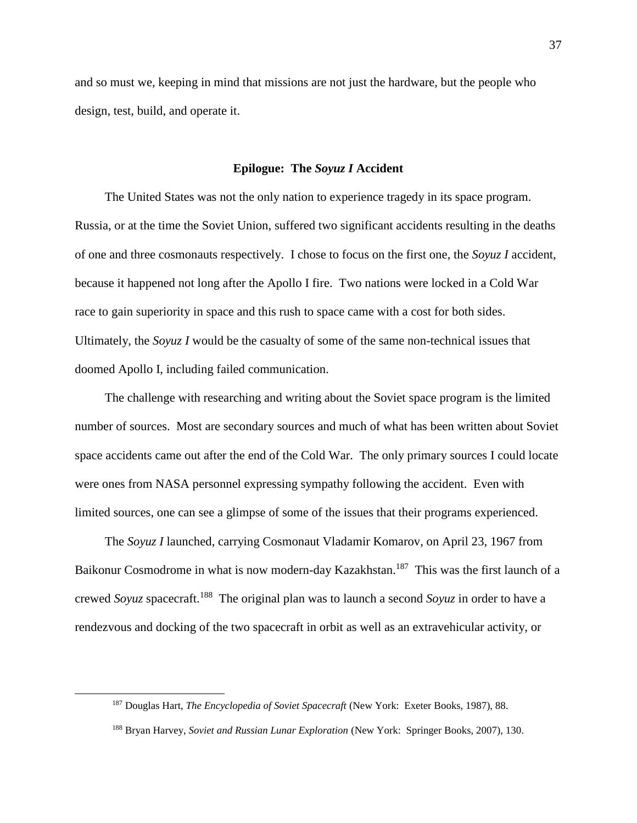and so must we, keeping in mind that missions are not just the hardware, but the people who design, test, build, and operate it.

#### **Epilogue: The** *Soyuz I* **Accident**

The United States was not the only nation to experience tragedy in its space program. Russia, or at the time the Soviet Union, suffered two significant accidents resulting in the deaths of one and three cosmonauts respectively. I chose to focus on the first one, the *Soyuz I* accident, because it happened not long after the Apollo I fire. Two nations were locked in a Cold War race to gain superiority in space and this rush to space came with a cost for both sides. Ultimately, the *Soyuz I* would be the casualty of some of the same non-technical issues that doomed Apollo I, including failed communication.

The challenge with researching and writing about the Soviet space program is the limited number of sources. Most are secondary sources and much of what has been written about Soviet space accidents came out after the end of the Cold War. The only primary sources I could locate were ones from NASA personnel expressing sympathy following the accident. Even with limited sources, one can see a glimpse of some of the issues that their programs experienced.

The *Soyuz I* launched, carrying Cosmonaut Vladamir Komarov, on April 23, 1967 from Baikonur Cosmodrome in what is now modern-day Kazakhstan.<sup>187</sup> This was the first launch of a crewed *Soyuz* spacecraft.<sup>188</sup> The original plan was to launch a second *Soyuz* in order to have a rendezvous and docking of the two spacecraft in orbit as well as an extravehicular activity, or

<sup>187</sup> Douglas Hart, *The Encyclopedia of Soviet Spacecraft* (New York: Exeter Books, 1987), 88.

<sup>188</sup> Bryan Harvey, *Soviet and Russian Lunar Exploration* (New York: Springer Books, 2007), 130.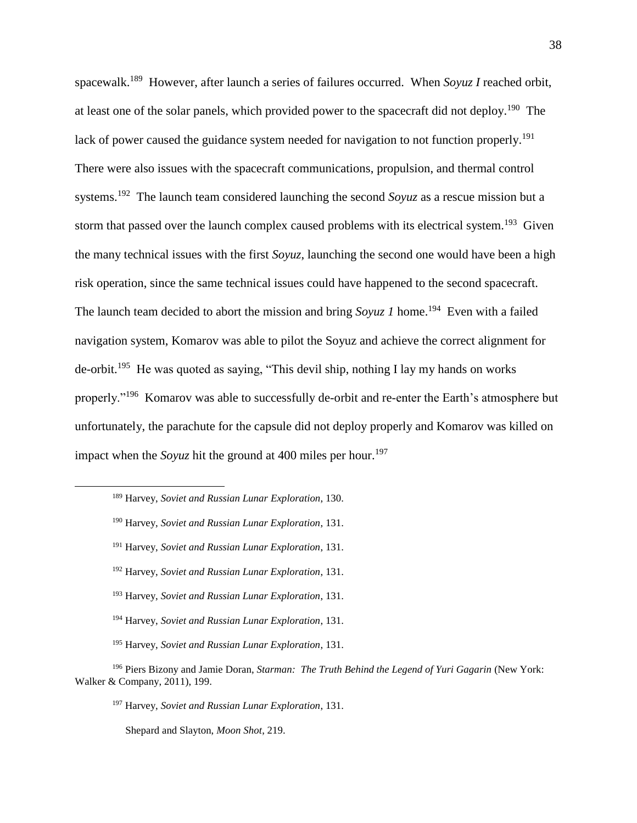spacewalk. 189 However, after launch a series of failures occurred. When *Soyuz I* reached orbit, at least one of the solar panels, which provided power to the spacecraft did not deploy.<sup>190</sup> The lack of power caused the guidance system needed for navigation to not function properly.<sup>191</sup> There were also issues with the spacecraft communications, propulsion, and thermal control systems.<sup>192</sup> The launch team considered launching the second *Soyuz* as a rescue mission but a storm that passed over the launch complex caused problems with its electrical system.<sup>193</sup> Given the many technical issues with the first *Soyuz*, launching the second one would have been a high risk operation, since the same technical issues could have happened to the second spacecraft. The launch team decided to abort the mission and bring  $Soyuz$  *I* home.<sup>194</sup> Even with a failed navigation system, Komarov was able to pilot the Soyuz and achieve the correct alignment for de-orbit.<sup>195</sup> He was quoted as saying, "This devil ship, nothing I lay my hands on works properly."<sup>196</sup> Komarov was able to successfully de-orbit and re-enter the Earth's atmosphere but unfortunately, the parachute for the capsule did not deploy properly and Komarov was killed on impact when the *Soyuz* hit the ground at 400 miles per hour. 197

<sup>195</sup> Harvey, *Soviet and Russian Lunar Exploration*, 131.

Shepard and Slayton, *Moon Shot*, 219.

<sup>189</sup> Harvey, *Soviet and Russian Lunar Exploration*, 130.

<sup>190</sup> Harvey, *Soviet and Russian Lunar Exploration*, 131.

<sup>191</sup> Harvey, *Soviet and Russian Lunar Exploration*, 131.

<sup>192</sup> Harvey, *Soviet and Russian Lunar Exploration*, 131.

<sup>193</sup> Harvey, *Soviet and Russian Lunar Exploration*, 131.

<sup>194</sup> Harvey, *Soviet and Russian Lunar Exploration*, 131.

<sup>&</sup>lt;sup>196</sup> Piers Bizony and [Jamie Doran,](https://www.amazon.com/Jamie-Doran/e/B001H6TYPI?ref=sr_ntt_srch_lnk_1&qid=1588301041&sr=1-1) *Starman: The Truth Behind the Legend of Yuri Gagarin* (New York: Walker & Company, 2011), 199.

<sup>197</sup> Harvey, *Soviet and Russian Lunar Exploration*, 131.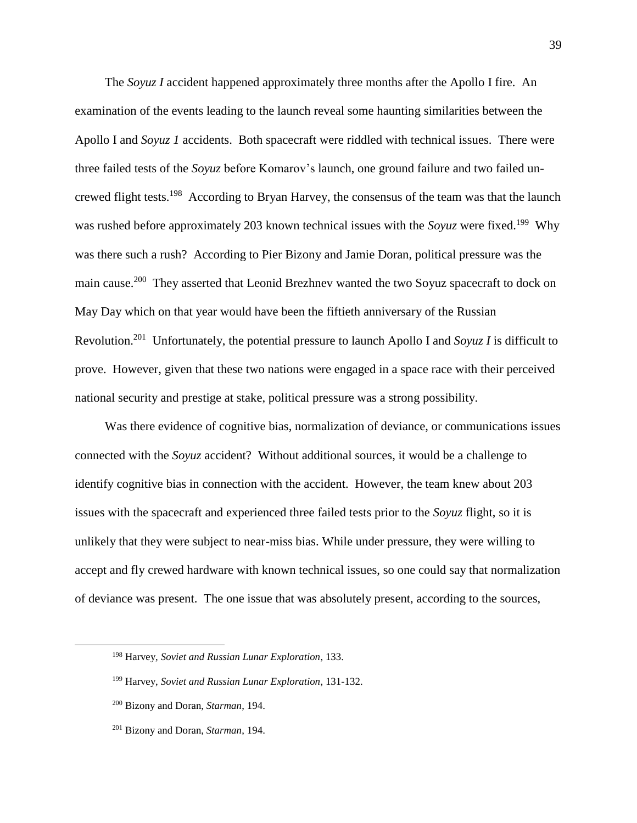The *Soyuz I* accident happened approximately three months after the Apollo I fire. An examination of the events leading to the launch reveal some haunting similarities between the Apollo I and *Soyuz 1* accidents. Both spacecraft were riddled with technical issues. There were three failed tests of the *Soyuz* before Komarov's launch, one ground failure and two failed uncrewed flight tests.<sup>198</sup> According to Bryan Harvey, the consensus of the team was that the launch was rushed before approximately 203 known technical issues with the *Soyuz* were fixed.<sup>199</sup> Why was there such a rush? According to Pier Bizony and Jamie Doran, political pressure was the main cause.<sup>200</sup> They asserted that Leonid Brezhnev wanted the two Soyuz spacecraft to dock on May Day which on that year would have been the fiftieth anniversary of the Russian Revolution.<sup>201</sup> Unfortunately, the potential pressure to launch Apollo I and *Soyuz I* is difficult to prove. However, given that these two nations were engaged in a space race with their perceived national security and prestige at stake, political pressure was a strong possibility.

Was there evidence of cognitive bias, normalization of deviance, or communications issues connected with the *Soyuz* accident? Without additional sources, it would be a challenge to identify cognitive bias in connection with the accident. However, the team knew about 203 issues with the spacecraft and experienced three failed tests prior to the *Soyuz* flight, so it is unlikely that they were subject to near-miss bias. While under pressure, they were willing to accept and fly crewed hardware with known technical issues, so one could say that normalization of deviance was present. The one issue that was absolutely present, according to the sources,

<sup>198</sup> Harvey, *Soviet and Russian Lunar Exploration*, 133.

<sup>199</sup> Harvey, *Soviet and Russian Lunar Exploration*, 131-132.

<sup>200</sup> Bizony and [Doran,](https://www.amazon.com/Jamie-Doran/e/B001H6TYPI?ref=sr_ntt_srch_lnk_1&qid=1588301041&sr=1-1) *Starman*, 194.

<sup>201</sup> Bizony and [Doran,](https://www.amazon.com/Jamie-Doran/e/B001H6TYPI?ref=sr_ntt_srch_lnk_1&qid=1588301041&sr=1-1) *Starman*, 194.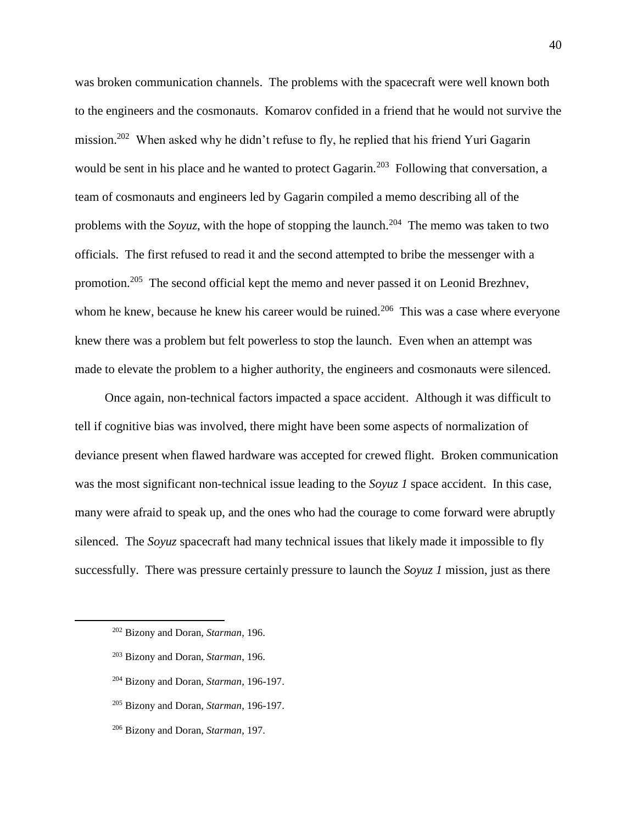was broken communication channels. The problems with the spacecraft were well known both to the engineers and the cosmonauts. Komarov confided in a friend that he would not survive the mission.<sup>202</sup> When asked why he didn't refuse to fly, he replied that his friend Yuri Gagarin would be sent in his place and he wanted to protect Gagarin.<sup>203</sup> Following that conversation, a team of cosmonauts and engineers led by Gagarin compiled a memo describing all of the problems with the *Soyuz*, with the hope of stopping the launch.<sup>204</sup> The memo was taken to two officials. The first refused to read it and the second attempted to bribe the messenger with a promotion.<sup>205</sup> The second official kept the memo and never passed it on Leonid Brezhnev, whom he knew, because he knew his career would be ruined.<sup>206</sup> This was a case where everyone knew there was a problem but felt powerless to stop the launch. Even when an attempt was made to elevate the problem to a higher authority, the engineers and cosmonauts were silenced.

Once again, non-technical factors impacted a space accident. Although it was difficult to tell if cognitive bias was involved, there might have been some aspects of normalization of deviance present when flawed hardware was accepted for crewed flight. Broken communication was the most significant non-technical issue leading to the *Soyuz 1* space accident. In this case, many were afraid to speak up, and the ones who had the courage to come forward were abruptly silenced. The *Soyuz* spacecraft had many technical issues that likely made it impossible to fly successfully. There was pressure certainly pressure to launch the *Soyuz 1* mission, just as there

- <sup>204</sup> Bizony and [Doran,](https://www.amazon.com/Jamie-Doran/e/B001H6TYPI?ref=sr_ntt_srch_lnk_1&qid=1588301041&sr=1-1) *Starman*, 196-197.
- <sup>205</sup> Bizony and [Doran,](https://www.amazon.com/Jamie-Doran/e/B001H6TYPI?ref=sr_ntt_srch_lnk_1&qid=1588301041&sr=1-1) *Starman*, 196-197.
- <sup>206</sup> Bizony and [Doran,](https://www.amazon.com/Jamie-Doran/e/B001H6TYPI?ref=sr_ntt_srch_lnk_1&qid=1588301041&sr=1-1) *Starman*, 197.

<sup>202</sup> Bizony and [Doran,](https://www.amazon.com/Jamie-Doran/e/B001H6TYPI?ref=sr_ntt_srch_lnk_1&qid=1588301041&sr=1-1) *Starman*, 196.

<sup>203</sup> Bizony and [Doran,](https://www.amazon.com/Jamie-Doran/e/B001H6TYPI?ref=sr_ntt_srch_lnk_1&qid=1588301041&sr=1-1) *Starman*, 196.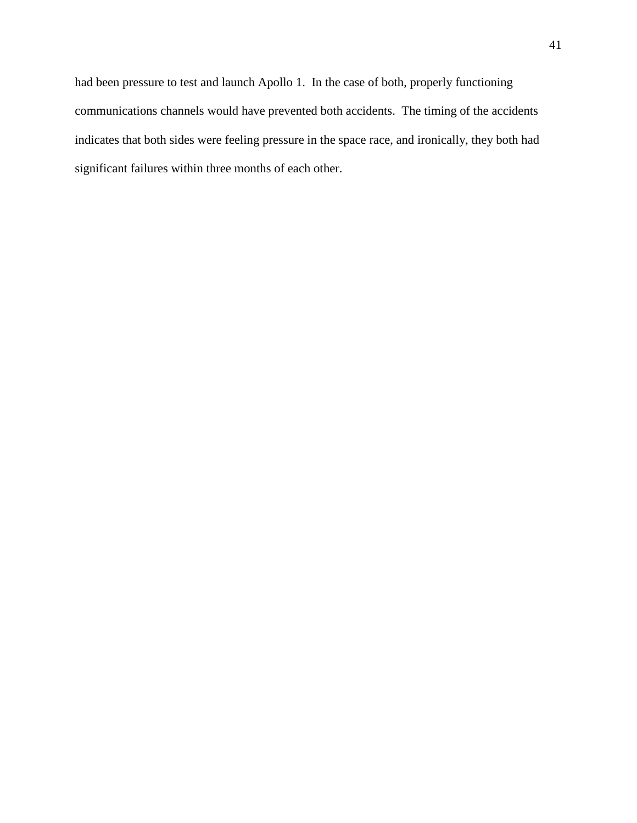had been pressure to test and launch Apollo 1. In the case of both, properly functioning communications channels would have prevented both accidents. The timing of the accidents indicates that both sides were feeling pressure in the space race, and ironically, they both had significant failures within three months of each other.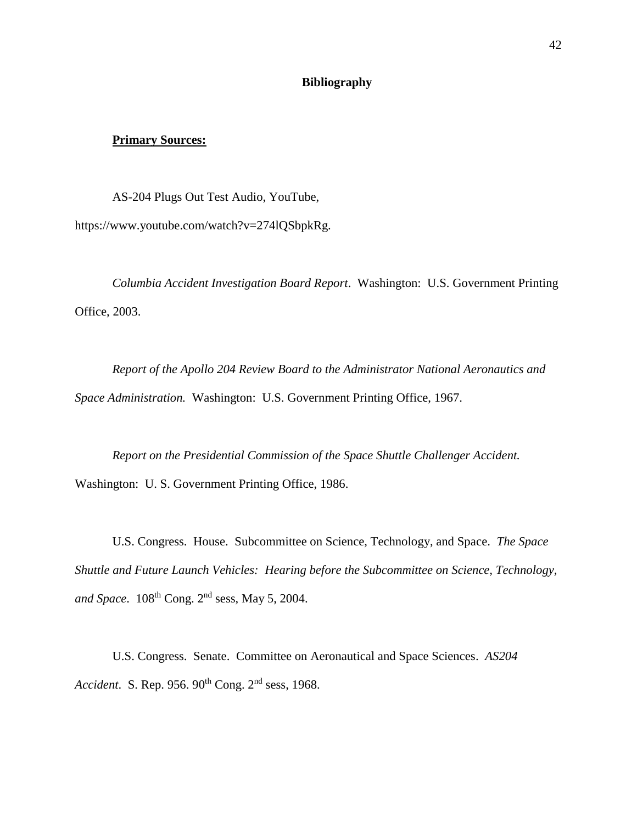#### **Bibliography**

#### **Primary Sources:**

AS-204 Plugs Out Test Audio, YouTube, https://www.youtube.com/watch?v=274lQSbpkRg.

*Columbia Accident Investigation Board Report*. Washington: U.S. Government Printing Office, 2003.

*Report of the Apollo 204 Review Board to the Administrator National Aeronautics and Space Administration.* Washington: U.S. Government Printing Office, 1967.

*Report on the Presidential Commission of the Space Shuttle Challenger Accident.* Washington: U. S. Government Printing Office, 1986.

U.S. Congress. House. Subcommittee on Science, Technology, and Space. *The Space Shuttle and Future Launch Vehicles: Hearing before the Subcommittee on Science, Technology,*  and Space. 108<sup>th</sup> Cong. 2<sup>nd</sup> sess, May 5, 2004.

U.S. Congress. Senate. Committee on Aeronautical and Space Sciences. *AS204 Accident*. S. Rep. 956. 90th Cong. 2nd sess, 1968.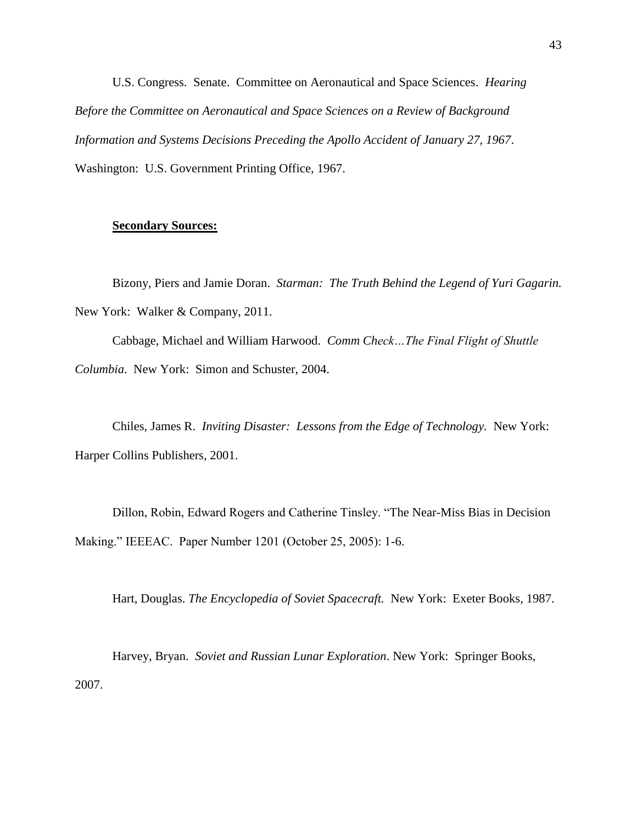U.S. Congress. Senate. Committee on Aeronautical and Space Sciences. *Hearing Before the Committee on Aeronautical and Space Sciences on a Review of Background Information and Systems Decisions Preceding the Apollo Accident of January 27, 1967*. Washington: U.S. Government Printing Office, 1967.

#### **Secondary Sources:**

Bizony, Piers and [Jamie Doran.](https://www.amazon.com/Jamie-Doran/e/B001H6TYPI?ref=sr_ntt_srch_lnk_1&qid=1588301041&sr=1-1) *Starman: The Truth Behind the Legend of Yuri Gagarin.*  New York: Walker & Company, 2011.

Cabbage, Michael and William Harwood. *Comm Check…The Final Flight of Shuttle Columbia*. New York: Simon and Schuster, 2004.

Chiles, James R. *Inviting Disaster: Lessons from the Edge of Technology.* New York: Harper Collins Publishers, 2001.

Dillon, Robin, Edward Rogers and Catherine Tinsley. "The Near-Miss Bias in Decision Making." IEEEAC. Paper Number 1201 (October 25, 2005): 1-6.

Hart, Douglas. *The Encyclopedia of Soviet Spacecraft.* New York: Exeter Books, 1987.

Harvey, Bryan. *Soviet and Russian Lunar Exploration*. New York: Springer Books, 2007.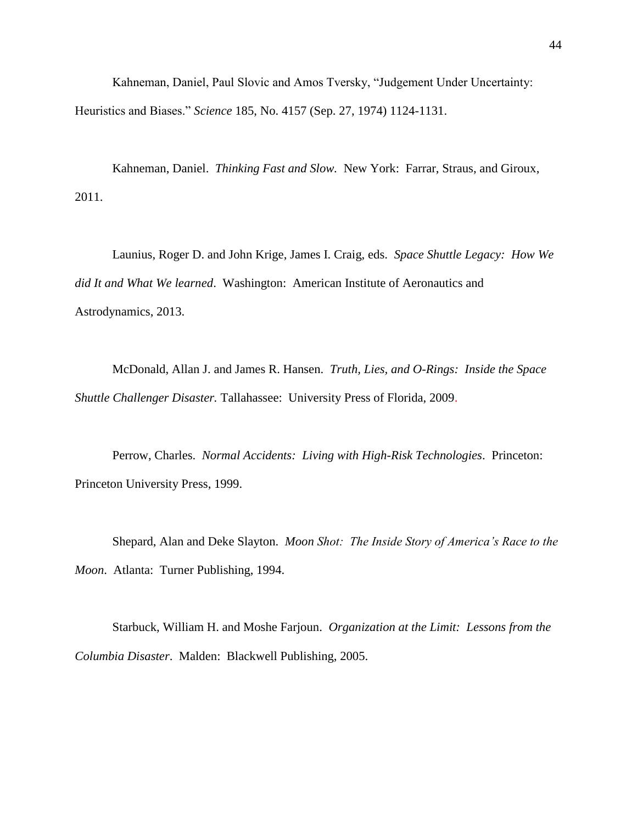Kahneman, Daniel, Paul Slovic and Amos Tversky, "Judgement Under Uncertainty: Heuristics and Biases." *Science* 185, No. 4157 (Sep. 27, 1974) 1124-1131.

Kahneman, Daniel. *Thinking Fast and Slow.* New York: Farrar, Straus, and Giroux, 2011.

Launius, Roger D. and John Krige, James I. Craig, eds. *Space Shuttle Legacy: How We did It and What We learned*. Washington: American Institute of Aeronautics and Astrodynamics, 2013.

McDonald, Allan J. and James R. Hansen. *Truth, Lies, and O-Rings: Inside the Space Shuttle Challenger Disaster.* Tallahassee: University Press of Florida, 2009.

Perrow, Charles. *Normal Accidents: Living with High-Risk Technologies*. Princeton: Princeton University Press, 1999.

Shepard, Alan and Deke Slayton. *Moon Shot: The Inside Story of America's Race to the Moon*. Atlanta: Turner Publishing, 1994.

Starbuck, William H. and Moshe Farjoun. *Organization at the Limit: Lessons from the Columbia Disaster*. Malden: Blackwell Publishing, 2005.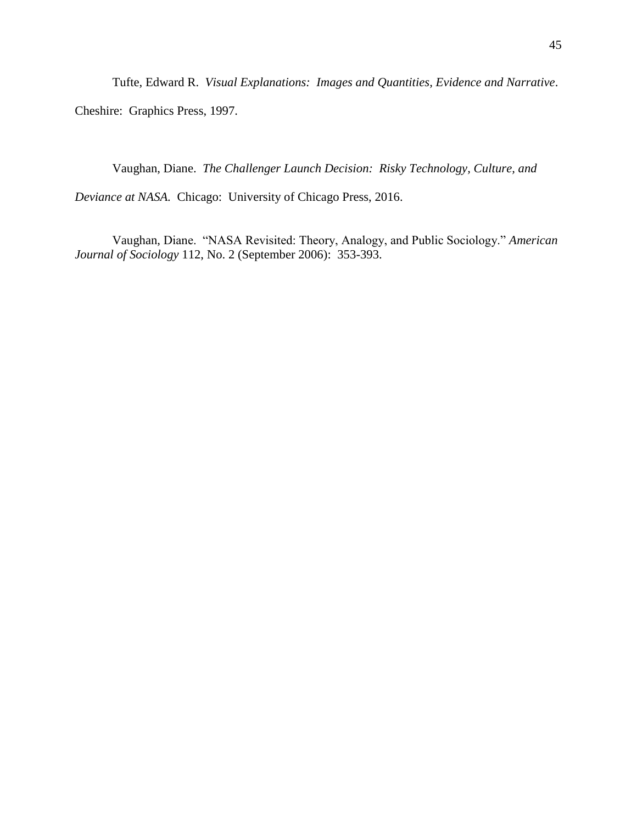Tufte, Edward R. *Visual Explanations: Images and Quantities, Evidence and Narrative*.

Cheshire: Graphics Press, 1997.

Vaughan, Diane. *The Challenger Launch Decision: Risky Technology, Culture, and* 

*Deviance at NASA.* Chicago: University of Chicago Press, 2016.

Vaughan, Diane. "NASA Revisited: Theory, Analogy, and Public Sociology." *American Journal of Sociology* 112, No. 2 (September 2006): 353-393.